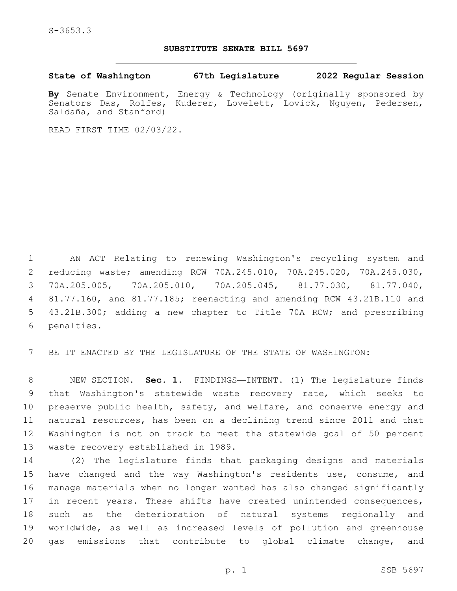S-3653.3

## **SUBSTITUTE SENATE BILL 5697**

**State of Washington 67th Legislature 2022 Regular Session**

**By** Senate Environment, Energy & Technology (originally sponsored by Senators Das, Rolfes, Kuderer, Lovelett, Lovick, Nguyen, Pedersen, Saldaña, and Stanford)

READ FIRST TIME 02/03/22.

 AN ACT Relating to renewing Washington's recycling system and reducing waste; amending RCW 70A.245.010, 70A.245.020, 70A.245.030, 70A.205.005, 70A.205.010, 70A.205.045, 81.77.030, 81.77.040, 81.77.160, and 81.77.185; reenacting and amending RCW 43.21B.110 and 43.21B.300; adding a new chapter to Title 70A RCW; and prescribing 6 penalties.

BE IT ENACTED BY THE LEGISLATURE OF THE STATE OF WASHINGTON:

 NEW SECTION. **Sec. 1.** FINDINGS—INTENT. (1) The legislature finds that Washington's statewide waste recovery rate, which seeks to preserve public health, safety, and welfare, and conserve energy and natural resources, has been on a declining trend since 2011 and that Washington is not on track to meet the statewide goal of 50 percent waste recovery established in 1989.

 (2) The legislature finds that packaging designs and materials have changed and the way Washington's residents use, consume, and manage materials when no longer wanted has also changed significantly 17 in recent years. These shifts have created unintended consequences, such as the deterioration of natural systems regionally and worldwide, as well as increased levels of pollution and greenhouse gas emissions that contribute to global climate change, and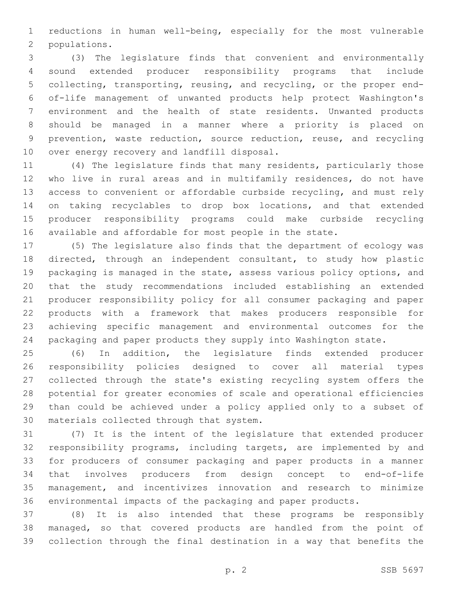reductions in human well-being, especially for the most vulnerable 2 populations.

 (3) The legislature finds that convenient and environmentally sound extended producer responsibility programs that include collecting, transporting, reusing, and recycling, or the proper end- of-life management of unwanted products help protect Washington's environment and the health of state residents. Unwanted products should be managed in a manner where a priority is placed on prevention, waste reduction, source reduction, reuse, and recycling 10 over energy recovery and landfill disposal.

 (4) The legislature finds that many residents, particularly those who live in rural areas and in multifamily residences, do not have access to convenient or affordable curbside recycling, and must rely on taking recyclables to drop box locations, and that extended producer responsibility programs could make curbside recycling available and affordable for most people in the state.

 (5) The legislature also finds that the department of ecology was directed, through an independent consultant, to study how plastic packaging is managed in the state, assess various policy options, and that the study recommendations included establishing an extended producer responsibility policy for all consumer packaging and paper products with a framework that makes producers responsible for achieving specific management and environmental outcomes for the packaging and paper products they supply into Washington state.

 (6) In addition, the legislature finds extended producer responsibility policies designed to cover all material types collected through the state's existing recycling system offers the potential for greater economies of scale and operational efficiencies than could be achieved under a policy applied only to a subset of 30 materials collected through that system.

 (7) It is the intent of the legislature that extended producer responsibility programs, including targets, are implemented by and for producers of consumer packaging and paper products in a manner that involves producers from design concept to end-of-life management, and incentivizes innovation and research to minimize environmental impacts of the packaging and paper products.

 (8) It is also intended that these programs be responsibly managed, so that covered products are handled from the point of collection through the final destination in a way that benefits the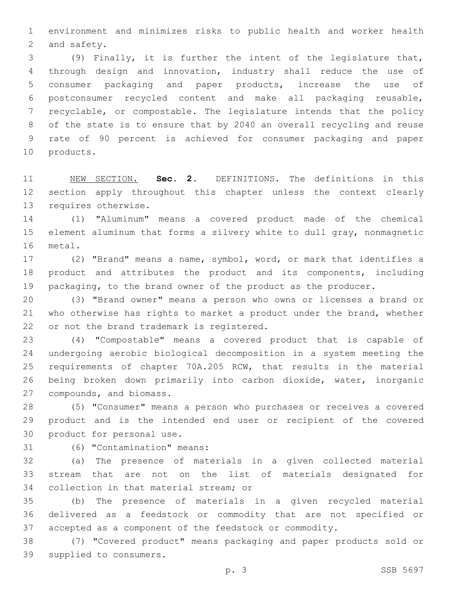environment and minimizes risks to public health and worker health 2 and safety.

 (9) Finally, it is further the intent of the legislature that, through design and innovation, industry shall reduce the use of consumer packaging and paper products, increase the use of postconsumer recycled content and make all packaging reusable, recyclable, or compostable. The legislature intends that the policy of the state is to ensure that by 2040 an overall recycling and reuse rate of 90 percent is achieved for consumer packaging and paper 10 products.

 NEW SECTION. **Sec. 2.** DEFINITIONS. The definitions in this section apply throughout this chapter unless the context clearly requires otherwise.

 (1) "Aluminum" means a covered product made of the chemical element aluminum that forms a silvery white to dull gray, nonmagnetic 16 metal.

 (2) "Brand" means a name, symbol, word, or mark that identifies a product and attributes the product and its components, including 19 packaging, to the brand owner of the product as the producer.

 (3) "Brand owner" means a person who owns or licenses a brand or who otherwise has rights to market a product under the brand, whether 22 or not the brand trademark is registered.

 (4) "Compostable" means a covered product that is capable of undergoing aerobic biological decomposition in a system meeting the requirements of chapter 70A.205 RCW, that results in the material being broken down primarily into carbon dioxide, water, inorganic 27 compounds, and biomass.

 (5) "Consumer" means a person who purchases or receives a covered product and is the intended end user or recipient of the covered 30 product for personal use.

31 (6) "Contamination" means:

 (a) The presence of materials in a given collected material stream that are not on the list of materials designated for 34 collection in that material stream; or

 (b) The presence of materials in a given recycled material delivered as a feedstock or commodity that are not specified or accepted as a component of the feedstock or commodity.

 (7) "Covered product" means packaging and paper products sold or 39 supplied to consumers.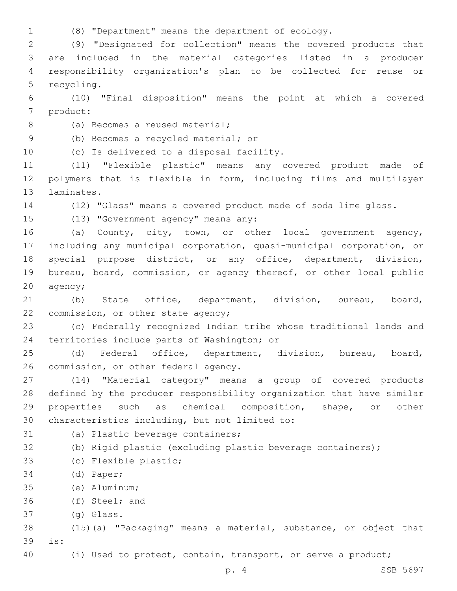1 (8) "Department" means the department of ecology.

 (9) "Designated for collection" means the covered products that are included in the material categories listed in a producer responsibility organization's plan to be collected for reuse or 5 recycling.

6 (10) "Final disposition" means the point at which a covered 7 product:

8 (a) Becomes a reused material;

(b) Becomes a recycled material; or9

10 (c) Is delivered to a disposal facility.

11 (11) "Flexible plastic" means any covered product made of 12 polymers that is flexible in form, including films and multilayer 13 laminates.

14 (12) "Glass" means a covered product made of soda lime glass.

15 (13) "Government agency" means any:

 (a) County, city, town, or other local government agency, including any municipal corporation, quasi-municipal corporation, or special purpose district, or any office, department, division, bureau, board, commission, or agency thereof, or other local public 20 agency;

21 (b) State office, department, division, bureau, board, 22 commission, or other state agency;

23 (c) Federally recognized Indian tribe whose traditional lands and 24 territories include parts of Washington; or

25 (d) Federal office, department, division, bureau, board, 26 commission, or other federal agency.

 (14) "Material category" means a group of covered products defined by the producer responsibility organization that have similar properties such as chemical composition, shape, or other 30 characteristics including, but not limited to:

31 (a) Plastic beverage containers;

```
32 (b) Rigid plastic (excluding plastic beverage containers);
```
33 (c) Flexible plastic;

34 (d) Paper;

(e) Aluminum;35

36 (f) Steel; and

(g) Glass.37

38 (15)(a) "Packaging" means a material, substance, or object that is:39

40 (i) Used to protect, contain, transport, or serve a product;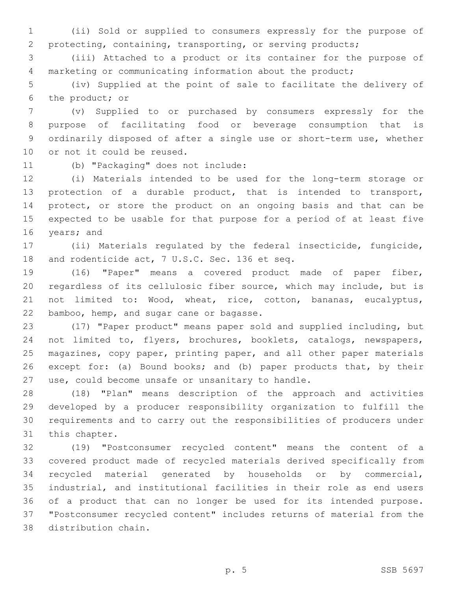(ii) Sold or supplied to consumers expressly for the purpose of protecting, containing, transporting, or serving products;

 (iii) Attached to a product or its container for the purpose of marketing or communicating information about the product;

 (iv) Supplied at the point of sale to facilitate the delivery of 6 the product; or

 (v) Supplied to or purchased by consumers expressly for the purpose of facilitating food or beverage consumption that is ordinarily disposed of after a single use or short-term use, whether 10 or not it could be reused.

11 (b) "Packaging" does not include:

 (i) Materials intended to be used for the long-term storage or protection of a durable product, that is intended to transport, 14 protect, or store the product on an ongoing basis and that can be expected to be usable for that purpose for a period of at least five 16 years; and

 (ii) Materials regulated by the federal insecticide, fungicide, 18 and rodenticide act, 7 U.S.C. Sec. 136 et seq.

 (16) "Paper" means a covered product made of paper fiber, regardless of its cellulosic fiber source, which may include, but is not limited to: Wood, wheat, rice, cotton, bananas, eucalyptus, 22 bamboo, hemp, and sugar cane or bagasse.

 (17) "Paper product" means paper sold and supplied including, but not limited to, flyers, brochures, booklets, catalogs, newspapers, magazines, copy paper, printing paper, and all other paper materials except for: (a) Bound books; and (b) paper products that, by their 27 use, could become unsafe or unsanitary to handle.

 (18) "Plan" means description of the approach and activities developed by a producer responsibility organization to fulfill the requirements and to carry out the responsibilities of producers under 31 this chapter.

 (19) "Postconsumer recycled content" means the content of a covered product made of recycled materials derived specifically from recycled material generated by households or by commercial, industrial, and institutional facilities in their role as end users of a product that can no longer be used for its intended purpose. "Postconsumer recycled content" includes returns of material from the 38 distribution chain.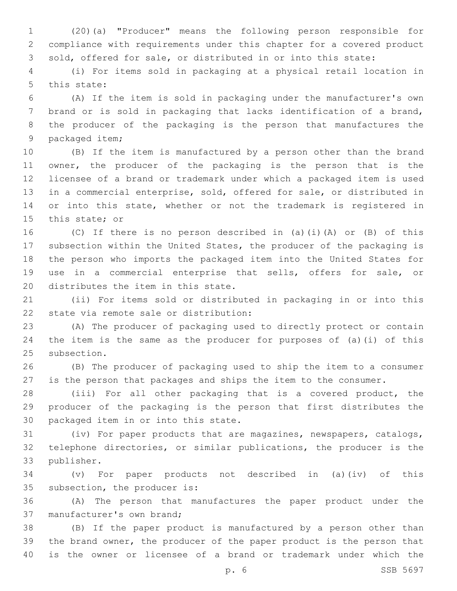(20)(a) "Producer" means the following person responsible for compliance with requirements under this chapter for a covered product sold, offered for sale, or distributed in or into this state:

 (i) For items sold in packaging at a physical retail location in 5 this state:

 (A) If the item is sold in packaging under the manufacturer's own brand or is sold in packaging that lacks identification of a brand, the producer of the packaging is the person that manufactures the 9 packaged item;

 (B) If the item is manufactured by a person other than the brand owner, the producer of the packaging is the person that is the licensee of a brand or trademark under which a packaged item is used in a commercial enterprise, sold, offered for sale, or distributed in 14 or into this state, whether or not the trademark is registered in 15 this state; or

 (C) If there is no person described in (a)(i)(A) or (B) of this subsection within the United States, the producer of the packaging is the person who imports the packaged item into the United States for use in a commercial enterprise that sells, offers for sale, or 20 distributes the item in this state.

 (ii) For items sold or distributed in packaging in or into this 22 state via remote sale or distribution:

 (A) The producer of packaging used to directly protect or contain the item is the same as the producer for purposes of (a)(i) of this 25 subsection.

 (B) The producer of packaging used to ship the item to a consumer is the person that packages and ships the item to the consumer.

 (iii) For all other packaging that is a covered product, the producer of the packaging is the person that first distributes the 30 packaged item in or into this state.

 (iv) For paper products that are magazines, newspapers, catalogs, telephone directories, or similar publications, the producer is the 33 publisher.

 (v) For paper products not described in (a)(iv) of this 35 subsection, the producer is:

 (A) The person that manufactures the paper product under the 37 manufacturer's own brand;

 (B) If the paper product is manufactured by a person other than the brand owner, the producer of the paper product is the person that is the owner or licensee of a brand or trademark under which the

p. 6 SSB 5697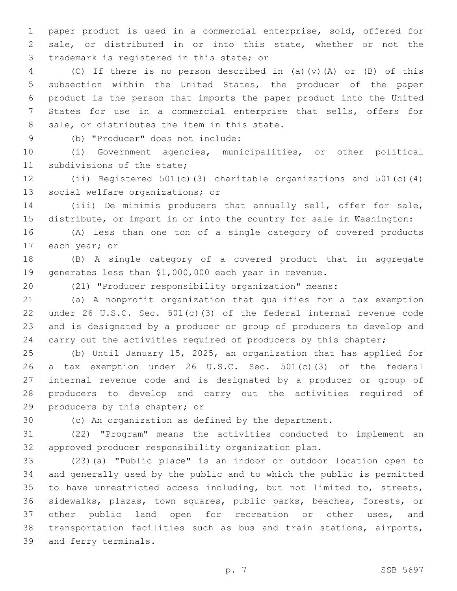paper product is used in a commercial enterprise, sold, offered for sale, or distributed in or into this state, whether or not the 3 trademark is registered in this state; or

 (C) If there is no person described in (a)(v)(A) or (B) of this subsection within the United States, the producer of the paper product is the person that imports the paper product into the United States for use in a commercial enterprise that sells, offers for 8 sale, or distributes the item in this state.

(b) "Producer" does not include:9

 (i) Government agencies, municipalities, or other political 11 subdivisions of the state;

 (ii) Registered 501(c)(3) charitable organizations and 501(c)(4) 13 social welfare organizations; or

 (iii) De minimis producers that annually sell, offer for sale, distribute, or import in or into the country for sale in Washington:

 (A) Less than one ton of a single category of covered products 17 each year; or

 (B) A single category of a covered product that in aggregate generates less than \$1,000,000 each year in revenue.

(21) "Producer responsibility organization" means:

 (a) A nonprofit organization that qualifies for a tax exemption under 26 U.S.C. Sec. 501(c)(3) of the federal internal revenue code and is designated by a producer or group of producers to develop and 24 carry out the activities required of producers by this chapter;

 (b) Until January 15, 2025, an organization that has applied for a tax exemption under 26 U.S.C. Sec. 501(c)(3) of the federal internal revenue code and is designated by a producer or group of producers to develop and carry out the activities required of 29 producers by this chapter; or

(c) An organization as defined by the department.

 (22) "Program" means the activities conducted to implement an approved producer responsibility organization plan.

 (23)(a) "Public place" is an indoor or outdoor location open to and generally used by the public and to which the public is permitted to have unrestricted access including, but not limited to, streets, sidewalks, plazas, town squares, public parks, beaches, forests, or other public land open for recreation or other uses, and transportation facilities such as bus and train stations, airports, 39 and ferry terminals.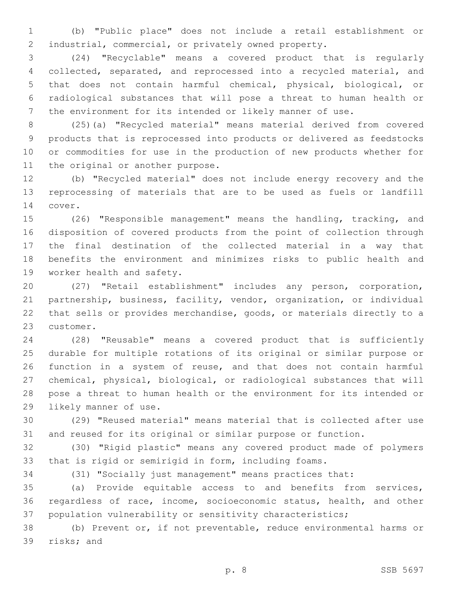(b) "Public place" does not include a retail establishment or industrial, commercial, or privately owned property.

 (24) "Recyclable" means a covered product that is regularly collected, separated, and reprocessed into a recycled material, and that does not contain harmful chemical, physical, biological, or radiological substances that will pose a threat to human health or the environment for its intended or likely manner of use.

 (25)(a) "Recycled material" means material derived from covered products that is reprocessed into products or delivered as feedstocks or commodities for use in the production of new products whether for 11 the original or another purpose.

 (b) "Recycled material" does not include energy recovery and the reprocessing of materials that are to be used as fuels or landfill 14 cover.

 (26) "Responsible management" means the handling, tracking, and disposition of covered products from the point of collection through the final destination of the collected material in a way that benefits the environment and minimizes risks to public health and 19 worker health and safety.

 (27) "Retail establishment" includes any person, corporation, partnership, business, facility, vendor, organization, or individual that sells or provides merchandise, goods, or materials directly to a 23 customer.

 (28) "Reusable" means a covered product that is sufficiently durable for multiple rotations of its original or similar purpose or function in a system of reuse, and that does not contain harmful chemical, physical, biological, or radiological substances that will pose a threat to human health or the environment for its intended or 29 likely manner of use.

 (29) "Reused material" means material that is collected after use and reused for its original or similar purpose or function.

 (30) "Rigid plastic" means any covered product made of polymers that is rigid or semirigid in form, including foams.

(31) "Socially just management" means practices that:

 (a) Provide equitable access to and benefits from services, regardless of race, income, socioeconomic status, health, and other population vulnerability or sensitivity characteristics;

 (b) Prevent or, if not preventable, reduce environmental harms or 39 risks; and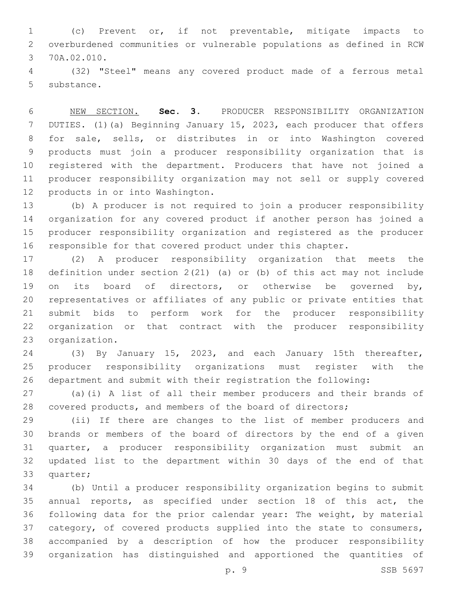(c) Prevent or, if not preventable, mitigate impacts to overburdened communities or vulnerable populations as defined in RCW 3 70A.02.010.

 (32) "Steel" means any covered product made of a ferrous metal 5 substance.

 NEW SECTION. **Sec. 3.** PRODUCER RESPONSIBILITY ORGANIZATION DUTIES. (1)(a) Beginning January 15, 2023, each producer that offers for sale, sells, or distributes in or into Washington covered products must join a producer responsibility organization that is registered with the department. Producers that have not joined a producer responsibility organization may not sell or supply covered products in or into Washington.

 (b) A producer is not required to join a producer responsibility organization for any covered product if another person has joined a producer responsibility organization and registered as the producer responsible for that covered product under this chapter.

 (2) A producer responsibility organization that meets the definition under section 2(21) (a) or (b) of this act may not include on its board of directors, or otherwise be governed by, representatives or affiliates of any public or private entities that submit bids to perform work for the producer responsibility organization or that contract with the producer responsibility 23 organization.

 (3) By January 15, 2023, and each January 15th thereafter, producer responsibility organizations must register with the department and submit with their registration the following:

 (a)(i) A list of all their member producers and their brands of covered products, and members of the board of directors;

 (ii) If there are changes to the list of member producers and brands or members of the board of directors by the end of a given quarter, a producer responsibility organization must submit an updated list to the department within 30 days of the end of that 33 quarter;

 (b) Until a producer responsibility organization begins to submit annual reports, as specified under section 18 of this act, the following data for the prior calendar year: The weight, by material category, of covered products supplied into the state to consumers, accompanied by a description of how the producer responsibility organization has distinguished and apportioned the quantities of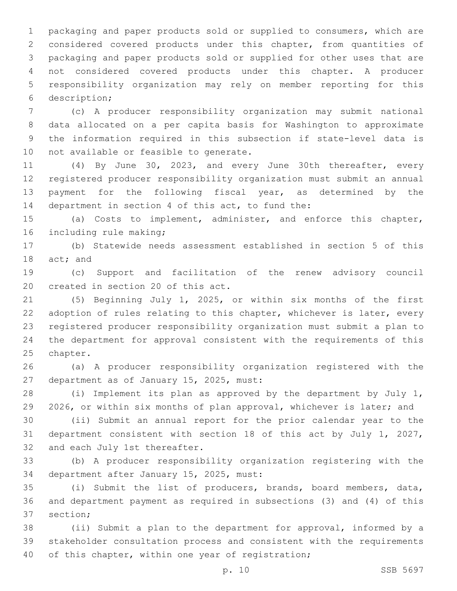packaging and paper products sold or supplied to consumers, which are considered covered products under this chapter, from quantities of packaging and paper products sold or supplied for other uses that are not considered covered products under this chapter. A producer responsibility organization may rely on member reporting for this description;6

 (c) A producer responsibility organization may submit national data allocated on a per capita basis for Washington to approximate the information required in this subsection if state-level data is 10 not available or feasible to generate.

 (4) By June 30, 2023, and every June 30th thereafter, every registered producer responsibility organization must submit an annual 13 payment for the following fiscal year, as determined by the 14 department in section 4 of this act, to fund the:

 (a) Costs to implement, administer, and enforce this chapter, 16 including rule making;

 (b) Statewide needs assessment established in section 5 of this 18 act; and

 (c) Support and facilitation of the renew advisory council 20 created in section 20 of this act.

 (5) Beginning July 1, 2025, or within six months of the first adoption of rules relating to this chapter, whichever is later, every registered producer responsibility organization must submit a plan to the department for approval consistent with the requirements of this 25 chapter.

 (a) A producer responsibility organization registered with the 27 department as of January 15, 2025, must:

 (i) Implement its plan as approved by the department by July 1, 2026, or within six months of plan approval, whichever is later; and

 (ii) Submit an annual report for the prior calendar year to the department consistent with section 18 of this act by July 1, 2027, 32 and each July 1st thereafter.

 (b) A producer responsibility organization registering with the 34 department after January 15, 2025, must:

 (i) Submit the list of producers, brands, board members, data, and department payment as required in subsections (3) and (4) of this 37 section:

 (ii) Submit a plan to the department for approval, informed by a stakeholder consultation process and consistent with the requirements 40 of this chapter, within one year of registration;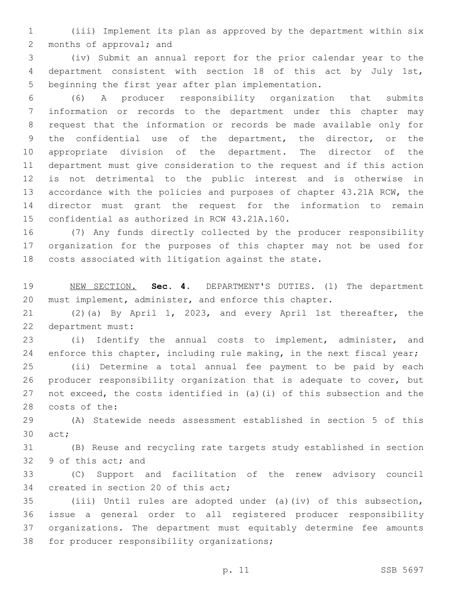(iii) Implement its plan as approved by the department within six 2 months of approval; and

 (iv) Submit an annual report for the prior calendar year to the department consistent with section 18 of this act by July 1st, beginning the first year after plan implementation.

 (6) A producer responsibility organization that submits information or records to the department under this chapter may request that the information or records be made available only for the confidential use of the department, the director, or the appropriate division of the department. The director of the department must give consideration to the request and if this action is not detrimental to the public interest and is otherwise in accordance with the policies and purposes of chapter 43.21A RCW, the director must grant the request for the information to remain 15 confidential as authorized in RCW 43.21A.160.

 (7) Any funds directly collected by the producer responsibility organization for the purposes of this chapter may not be used for costs associated with litigation against the state.

 NEW SECTION. **Sec. 4.** DEPARTMENT'S DUTIES. (1) The department must implement, administer, and enforce this chapter.

 (2)(a) By April 1, 2023, and every April 1st thereafter, the 22 department must:

 (i) Identify the annual costs to implement, administer, and 24 enforce this chapter, including rule making, in the next fiscal year;

 (ii) Determine a total annual fee payment to be paid by each producer responsibility organization that is adequate to cover, but not exceed, the costs identified in (a)(i) of this subsection and the 28 costs of the:

 (A) Statewide needs assessment established in section 5 of this 30 act;

 (B) Reuse and recycling rate targets study established in section 32 9 of this act; and

 (C) Support and facilitation of the renew advisory council 34 created in section 20 of this act;

 (iii) Until rules are adopted under (a)(iv) of this subsection, issue a general order to all registered producer responsibility organizations. The department must equitably determine fee amounts 38 for producer responsibility organizations;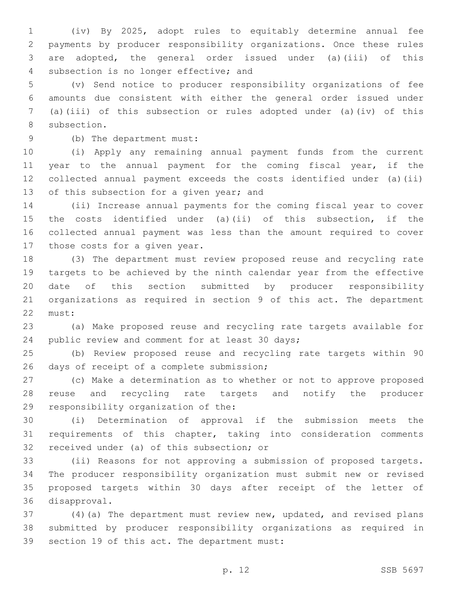(iv) By 2025, adopt rules to equitably determine annual fee payments by producer responsibility organizations. Once these rules are adopted, the general order issued under (a)(iii) of this 4 subsection is no longer effective; and

 (v) Send notice to producer responsibility organizations of fee amounts due consistent with either the general order issued under (a)(iii) of this subsection or rules adopted under (a)(iv) of this 8 subsection.

(b) The department must:9

 (i) Apply any remaining annual payment funds from the current 11 year to the annual payment for the coming fiscal year, if the collected annual payment exceeds the costs identified under (a)(ii) 13 of this subsection for a given year; and

 (ii) Increase annual payments for the coming fiscal year to cover the costs identified under (a)(ii) of this subsection, if the collected annual payment was less than the amount required to cover 17 those costs for a given year.

 (3) The department must review proposed reuse and recycling rate targets to be achieved by the ninth calendar year from the effective date of this section submitted by producer responsibility organizations as required in section 9 of this act. The department 22 must:

 (a) Make proposed reuse and recycling rate targets available for 24 public review and comment for at least 30 days;

 (b) Review proposed reuse and recycling rate targets within 90 26 days of receipt of a complete submission;

 (c) Make a determination as to whether or not to approve proposed reuse and recycling rate targets and notify the producer 29 responsibility organization of the:

 (i) Determination of approval if the submission meets the requirements of this chapter, taking into consideration comments 32 received under (a) of this subsection; or

 (ii) Reasons for not approving a submission of proposed targets. The producer responsibility organization must submit new or revised proposed targets within 30 days after receipt of the letter of 36 disapproval.

 (4)(a) The department must review new, updated, and revised plans submitted by producer responsibility organizations as required in 39 section 19 of this act. The department must: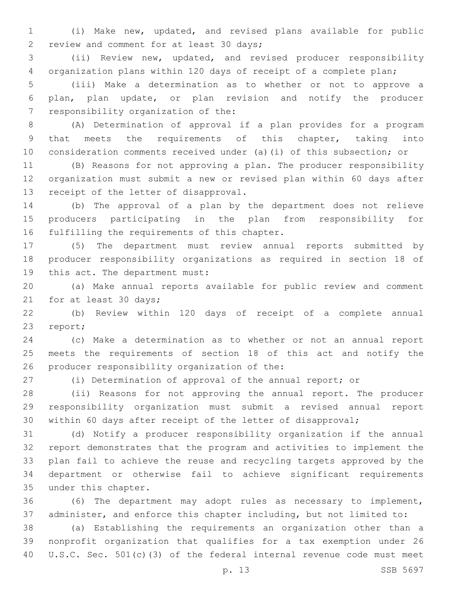(i) Make new, updated, and revised plans available for public 2 review and comment for at least 30 days;

 (ii) Review new, updated, and revised producer responsibility organization plans within 120 days of receipt of a complete plan;

 (iii) Make a determination as to whether or not to approve a plan, plan update, or plan revision and notify the producer 7 responsibility organization of the:

 (A) Determination of approval if a plan provides for a program that meets the requirements of this chapter, taking into consideration comments received under (a)(i) of this subsection; or

 (B) Reasons for not approving a plan. The producer responsibility organization must submit a new or revised plan within 60 days after 13 receipt of the letter of disapproval.

 (b) The approval of a plan by the department does not relieve producers participating in the plan from responsibility for 16 fulfilling the requirements of this chapter.

 (5) The department must review annual reports submitted by producer responsibility organizations as required in section 18 of 19 this act. The department must:

 (a) Make annual reports available for public review and comment 21 for at least 30 days;

 (b) Review within 120 days of receipt of a complete annual 23 report;

 (c) Make a determination as to whether or not an annual report meets the requirements of section 18 of this act and notify the 26 producer responsibility organization of the:

(i) Determination of approval of the annual report; or

 (ii) Reasons for not approving the annual report. The producer responsibility organization must submit a revised annual report within 60 days after receipt of the letter of disapproval;

 (d) Notify a producer responsibility organization if the annual report demonstrates that the program and activities to implement the plan fail to achieve the reuse and recycling targets approved by the department or otherwise fail to achieve significant requirements 35 under this chapter.

 (6) The department may adopt rules as necessary to implement, administer, and enforce this chapter including, but not limited to:

 (a) Establishing the requirements an organization other than a nonprofit organization that qualifies for a tax exemption under 26 U.S.C. Sec. 501(c)(3) of the federal internal revenue code must meet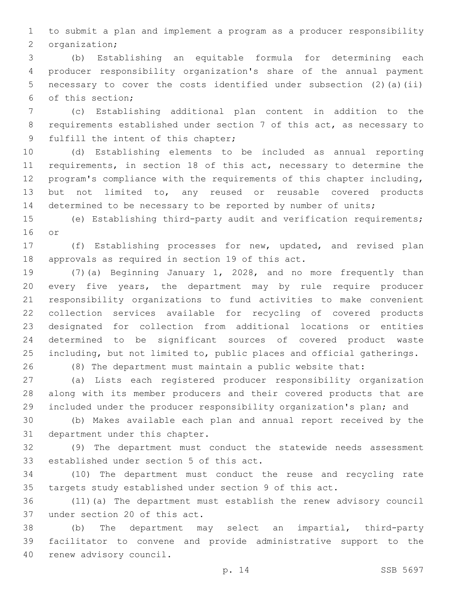to submit a plan and implement a program as a producer responsibility 2 organization;

 (b) Establishing an equitable formula for determining each producer responsibility organization's share of the annual payment necessary to cover the costs identified under subsection (2)(a)(ii) of this section;6

 (c) Establishing additional plan content in addition to the requirements established under section 7 of this act, as necessary to 9 fulfill the intent of this chapter;

 (d) Establishing elements to be included as annual reporting requirements, in section 18 of this act, necessary to determine the program's compliance with the requirements of this chapter including, but not limited to, any reused or reusable covered products 14 determined to be necessary to be reported by number of units;

 (e) Establishing third-party audit and verification requirements; 16 or

 (f) Establishing processes for new, updated, and revised plan 18 approvals as required in section 19 of this act.

 (7)(a) Beginning January 1, 2028, and no more frequently than every five years, the department may by rule require producer responsibility organizations to fund activities to make convenient collection services available for recycling of covered products designated for collection from additional locations or entities determined to be significant sources of covered product waste including, but not limited to, public places and official gatherings.

(8) The department must maintain a public website that:

 (a) Lists each registered producer responsibility organization along with its member producers and their covered products that are included under the producer responsibility organization's plan; and

 (b) Makes available each plan and annual report received by the 31 department under this chapter.

 (9) The department must conduct the statewide needs assessment 33 established under section 5 of this act.

 (10) The department must conduct the reuse and recycling rate targets study established under section 9 of this act.

 (11)(a) The department must establish the renew advisory council 37 under section 20 of this act.

 (b) The department may select an impartial, third-party facilitator to convene and provide administrative support to the 40 renew advisory council.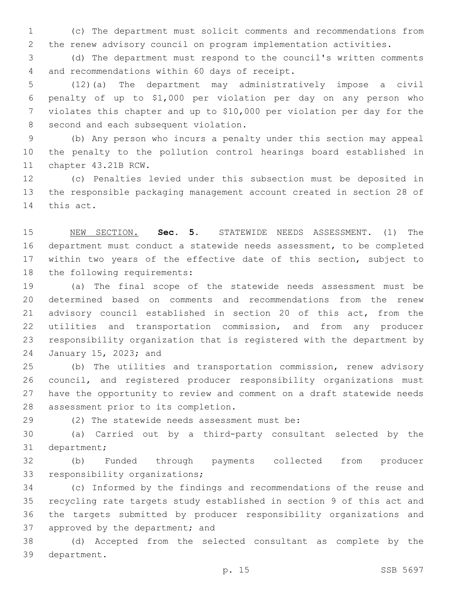(c) The department must solicit comments and recommendations from the renew advisory council on program implementation activities.

 (d) The department must respond to the council's written comments 4 and recommendations within 60 days of receipt.

 (12)(a) The department may administratively impose a civil penalty of up to \$1,000 per violation per day on any person who violates this chapter and up to \$10,000 per violation per day for the 8 second and each subsequent violation.

 (b) Any person who incurs a penalty under this section may appeal the penalty to the pollution control hearings board established in 11 chapter 43.21B RCW.

 (c) Penalties levied under this subsection must be deposited in the responsible packaging management account created in section 28 of 14 this act.

 NEW SECTION. **Sec. 5.** STATEWIDE NEEDS ASSESSMENT. (1) The department must conduct a statewide needs assessment, to be completed 17 within two years of the effective date of this section, subject to the following requirements:

 (a) The final scope of the statewide needs assessment must be determined based on comments and recommendations from the renew advisory council established in section 20 of this act, from the utilities and transportation commission, and from any producer responsibility organization that is registered with the department by 24 January 15, 2023; and

 (b) The utilities and transportation commission, renew advisory council, and registered producer responsibility organizations must have the opportunity to review and comment on a draft statewide needs 28 assessment prior to its completion.

29 (2) The statewide needs assessment must be:

 (a) Carried out by a third-party consultant selected by the 31 department;

 (b) Funded through payments collected from producer 33 responsibility organizations;

 (c) Informed by the findings and recommendations of the reuse and recycling rate targets study established in section 9 of this act and the targets submitted by producer responsibility organizations and 37 approved by the department; and

 (d) Accepted from the selected consultant as complete by the department.39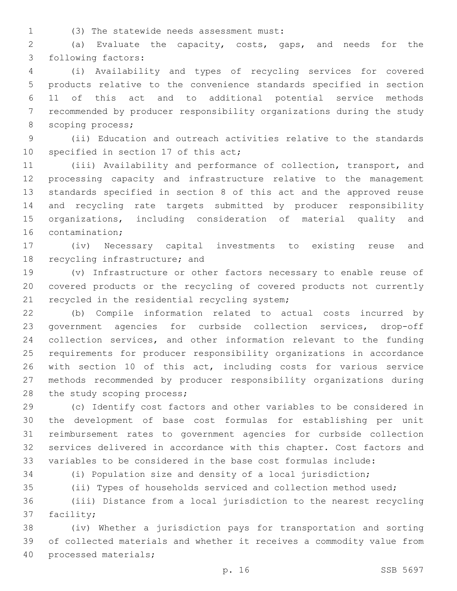(3) The statewide needs assessment must:1

 (a) Evaluate the capacity, costs, gaps, and needs for the 3 following factors:

 (i) Availability and types of recycling services for covered products relative to the convenience standards specified in section 11 of this act and to additional potential service methods recommended by producer responsibility organizations during the study 8 scoping process;

 (ii) Education and outreach activities relative to the standards 10 specified in section 17 of this act;

 (iii) Availability and performance of collection, transport, and processing capacity and infrastructure relative to the management standards specified in section 8 of this act and the approved reuse and recycling rate targets submitted by producer responsibility organizations, including consideration of material quality and 16 contamination:

 (iv) Necessary capital investments to existing reuse and 18 recycling infrastructure; and

 (v) Infrastructure or other factors necessary to enable reuse of covered products or the recycling of covered products not currently 21 recycled in the residential recycling system;

 (b) Compile information related to actual costs incurred by government agencies for curbside collection services, drop-off collection services, and other information relevant to the funding requirements for producer responsibility organizations in accordance with section 10 of this act, including costs for various service methods recommended by producer responsibility organizations during 28 the study scoping process;

 (c) Identify cost factors and other variables to be considered in the development of base cost formulas for establishing per unit reimbursement rates to government agencies for curbside collection services delivered in accordance with this chapter. Cost factors and variables to be considered in the base cost formulas include:

(i) Population size and density of a local jurisdiction;

(ii) Types of households serviced and collection method used;

 (iii) Distance from a local jurisdiction to the nearest recycling 37 facility;

 (iv) Whether a jurisdiction pays for transportation and sorting of collected materials and whether it receives a commodity value from 40 processed materials;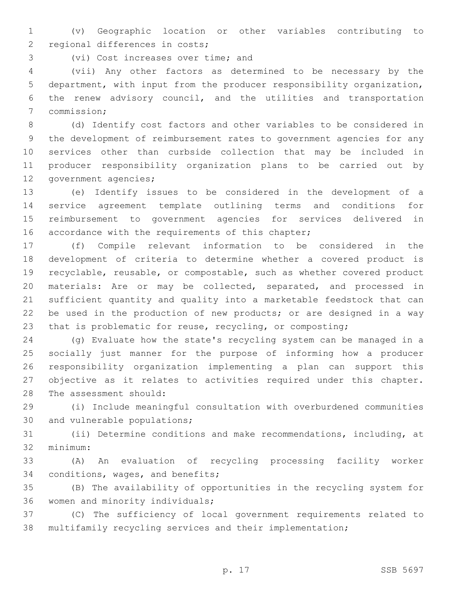(v) Geographic location or other variables contributing to 2 regional differences in costs;

3 (vi) Cost increases over time; and

 (vii) Any other factors as determined to be necessary by the department, with input from the producer responsibility organization, the renew advisory council, and the utilities and transportation 7 commission;

 (d) Identify cost factors and other variables to be considered in the development of reimbursement rates to government agencies for any services other than curbside collection that may be included in producer responsibility organization plans to be carried out by 12 government agencies;

 (e) Identify issues to be considered in the development of a service agreement template outlining terms and conditions for reimbursement to government agencies for services delivered in 16 accordance with the requirements of this chapter;

 (f) Compile relevant information to be considered in the development of criteria to determine whether a covered product is recyclable, reusable, or compostable, such as whether covered product materials: Are or may be collected, separated, and processed in sufficient quantity and quality into a marketable feedstock that can be used in the production of new products; or are designed in a way that is problematic for reuse, recycling, or composting;

 (g) Evaluate how the state's recycling system can be managed in a socially just manner for the purpose of informing how a producer responsibility organization implementing a plan can support this objective as it relates to activities required under this chapter. 28 The assessment should:

 (i) Include meaningful consultation with overburdened communities 30 and vulnerable populations;

 (ii) Determine conditions and make recommendations, including, at 32 minimum:

 (A) An evaluation of recycling processing facility worker 34 conditions, wages, and benefits;

 (B) The availability of opportunities in the recycling system for 36 women and minority individuals;

 (C) The sufficiency of local government requirements related to multifamily recycling services and their implementation;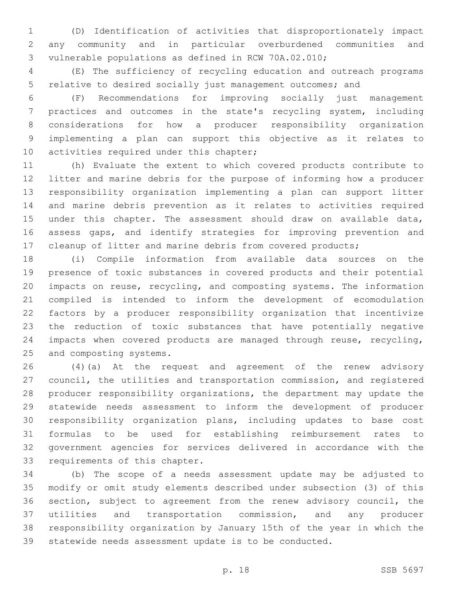(D) Identification of activities that disproportionately impact any community and in particular overburdened communities and vulnerable populations as defined in RCW 70A.02.010;

 (E) The sufficiency of recycling education and outreach programs relative to desired socially just management outcomes; and

 (F) Recommendations for improving socially just management practices and outcomes in the state's recycling system, including considerations for how a producer responsibility organization implementing a plan can support this objective as it relates to 10 activities required under this chapter;

 (h) Evaluate the extent to which covered products contribute to litter and marine debris for the purpose of informing how a producer responsibility organization implementing a plan can support litter and marine debris prevention as it relates to activities required under this chapter. The assessment should draw on available data, assess gaps, and identify strategies for improving prevention and cleanup of litter and marine debris from covered products;

 (i) Compile information from available data sources on the presence of toxic substances in covered products and their potential impacts on reuse, recycling, and composting systems. The information compiled is intended to inform the development of ecomodulation factors by a producer responsibility organization that incentivize the reduction of toxic substances that have potentially negative impacts when covered products are managed through reuse, recycling, 25 and composting systems.

 (4)(a) At the request and agreement of the renew advisory council, the utilities and transportation commission, and registered producer responsibility organizations, the department may update the statewide needs assessment to inform the development of producer responsibility organization plans, including updates to base cost formulas to be used for establishing reimbursement rates to government agencies for services delivered in accordance with the 33 requirements of this chapter.

 (b) The scope of a needs assessment update may be adjusted to modify or omit study elements described under subsection (3) of this section, subject to agreement from the renew advisory council, the utilities and transportation commission, and any producer responsibility organization by January 15th of the year in which the statewide needs assessment update is to be conducted.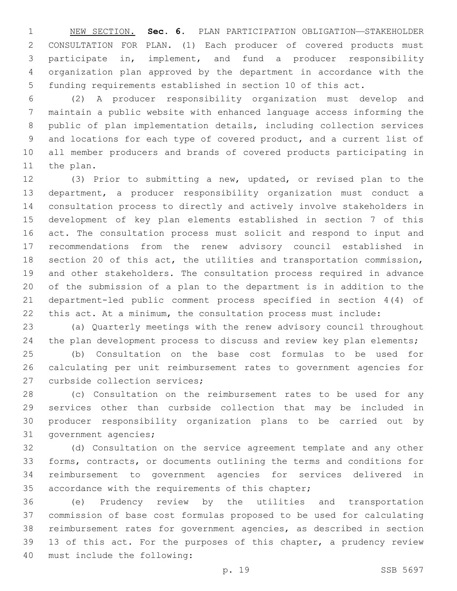NEW SECTION. **Sec. 6.** PLAN PARTICIPATION OBLIGATION—STAKEHOLDER CONSULTATION FOR PLAN. (1) Each producer of covered products must participate in, implement, and fund a producer responsibility organization plan approved by the department in accordance with the funding requirements established in section 10 of this act.

 (2) A producer responsibility organization must develop and maintain a public website with enhanced language access informing the public of plan implementation details, including collection services and locations for each type of covered product, and a current list of all member producers and brands of covered products participating in 11 the plan.

 (3) Prior to submitting a new, updated, or revised plan to the department, a producer responsibility organization must conduct a consultation process to directly and actively involve stakeholders in development of key plan elements established in section 7 of this act. The consultation process must solicit and respond to input and recommendations from the renew advisory council established in section 20 of this act, the utilities and transportation commission, and other stakeholders. The consultation process required in advance of the submission of a plan to the department is in addition to the department-led public comment process specified in section 4(4) of this act. At a minimum, the consultation process must include:

 (a) Quarterly meetings with the renew advisory council throughout the plan development process to discuss and review key plan elements;

 (b) Consultation on the base cost formulas to be used for calculating per unit reimbursement rates to government agencies for 27 curbside collection services;

 (c) Consultation on the reimbursement rates to be used for any services other than curbside collection that may be included in producer responsibility organization plans to be carried out by 31 government agencies;

 (d) Consultation on the service agreement template and any other forms, contracts, or documents outlining the terms and conditions for reimbursement to government agencies for services delivered in 35 accordance with the requirements of this chapter;

 (e) Prudency review by the utilities and transportation commission of base cost formulas proposed to be used for calculating reimbursement rates for government agencies, as described in section 13 of this act. For the purposes of this chapter, a prudency review 40 must include the following: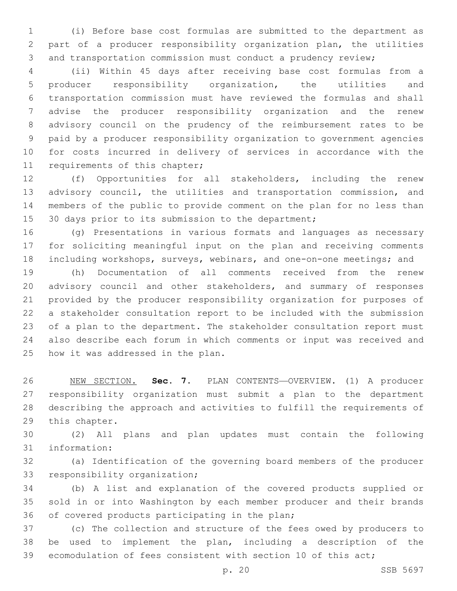(i) Before base cost formulas are submitted to the department as part of a producer responsibility organization plan, the utilities and transportation commission must conduct a prudency review;

 (ii) Within 45 days after receiving base cost formulas from a producer responsibility organization, the utilities and transportation commission must have reviewed the formulas and shall advise the producer responsibility organization and the renew advisory council on the prudency of the reimbursement rates to be paid by a producer responsibility organization to government agencies for costs incurred in delivery of services in accordance with the 11 requirements of this chapter;

 (f) Opportunities for all stakeholders, including the renew advisory council, the utilities and transportation commission, and members of the public to provide comment on the plan for no less than 15 30 days prior to its submission to the department;

 (g) Presentations in various formats and languages as necessary for soliciting meaningful input on the plan and receiving comments including workshops, surveys, webinars, and one-on-one meetings; and

 (h) Documentation of all comments received from the renew advisory council and other stakeholders, and summary of responses provided by the producer responsibility organization for purposes of a stakeholder consultation report to be included with the submission of a plan to the department. The stakeholder consultation report must also describe each forum in which comments or input was received and 25 how it was addressed in the plan.

 NEW SECTION. **Sec. 7.** PLAN CONTENTS—OVERVIEW. (1) A producer responsibility organization must submit a plan to the department describing the approach and activities to fulfill the requirements of this chapter.

 (2) All plans and plan updates must contain the following 31 information:

 (a) Identification of the governing board members of the producer 33 responsibility organization;

 (b) A list and explanation of the covered products supplied or sold in or into Washington by each member producer and their brands 36 of covered products participating in the plan;

 (c) The collection and structure of the fees owed by producers to be used to implement the plan, including a description of the ecomodulation of fees consistent with section 10 of this act;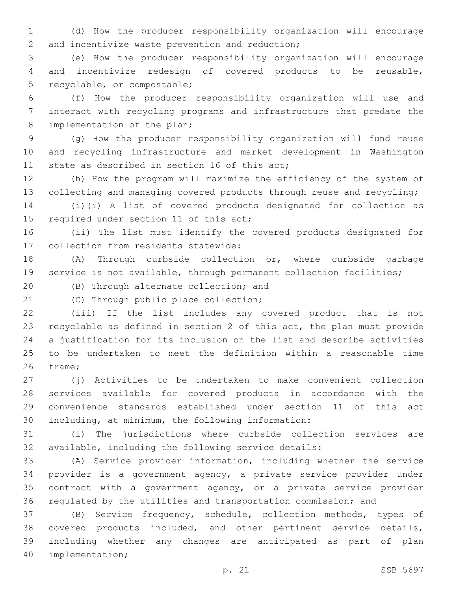(d) How the producer responsibility organization will encourage 2 and incentivize waste prevention and reduction;

 (e) How the producer responsibility organization will encourage and incentivize redesign of covered products to be reusable, 5 recyclable, or compostable;

 (f) How the producer responsibility organization will use and interact with recycling programs and infrastructure that predate the 8 implementation of the plan;

 (g) How the producer responsibility organization will fund reuse and recycling infrastructure and market development in Washington 11 state as described in section 16 of this act;

 (h) How the program will maximize the efficiency of the system of 13 collecting and managing covered products through reuse and recycling;

 (i)(i) A list of covered products designated for collection as 15 required under section 11 of this act;

 (ii) The list must identify the covered products designated for 17 collection from residents statewide:

 (A) Through curbside collection or, where curbside garbage service is not available, through permanent collection facilities;

20 (B) Through alternate collection; and

21 (C) Through public place collection;

 (iii) If the list includes any covered product that is not recyclable as defined in section 2 of this act, the plan must provide a justification for its inclusion on the list and describe activities to be undertaken to meet the definition within a reasonable time 26 frame;

 (j) Activities to be undertaken to make convenient collection services available for covered products in accordance with the convenience standards established under section 11 of this act 30 including, at minimum, the following information:

 (i) The jurisdictions where curbside collection services are available, including the following service details:

 (A) Service provider information, including whether the service provider is a government agency, a private service provider under contract with a government agency, or a private service provider regulated by the utilities and transportation commission; and

 (B) Service frequency, schedule, collection methods, types of covered products included, and other pertinent service details, including whether any changes are anticipated as part of plan 40 implementation;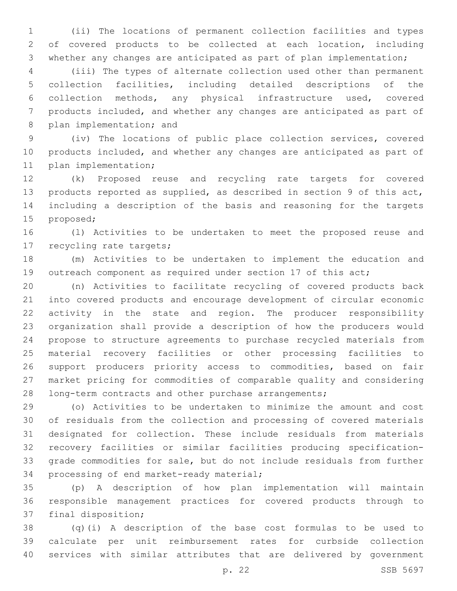(ii) The locations of permanent collection facilities and types of covered products to be collected at each location, including whether any changes are anticipated as part of plan implementation;

 (iii) The types of alternate collection used other than permanent collection facilities, including detailed descriptions of the collection methods, any physical infrastructure used, covered products included, and whether any changes are anticipated as part of 8 plan implementation; and

 (iv) The locations of public place collection services, covered products included, and whether any changes are anticipated as part of 11 plan implementation;

 (k) Proposed reuse and recycling rate targets for covered products reported as supplied, as described in section 9 of this act, including a description of the basis and reasoning for the targets 15 proposed;

 (l) Activities to be undertaken to meet the proposed reuse and 17 recycling rate targets;

 (m) Activities to be undertaken to implement the education and 19 outreach component as required under section 17 of this act;

 (n) Activities to facilitate recycling of covered products back into covered products and encourage development of circular economic activity in the state and region. The producer responsibility organization shall provide a description of how the producers would propose to structure agreements to purchase recycled materials from material recovery facilities or other processing facilities to support producers priority access to commodities, based on fair market pricing for commodities of comparable quality and considering 28 long-term contracts and other purchase arrangements;

 (o) Activities to be undertaken to minimize the amount and cost of residuals from the collection and processing of covered materials designated for collection. These include residuals from materials recovery facilities or similar facilities producing specification- grade commodities for sale, but do not include residuals from further 34 processing of end market-ready material;

 (p) A description of how plan implementation will maintain responsible management practices for covered products through to 37 final disposition;

 (q)(i) A description of the base cost formulas to be used to calculate per unit reimbursement rates for curbside collection services with similar attributes that are delivered by government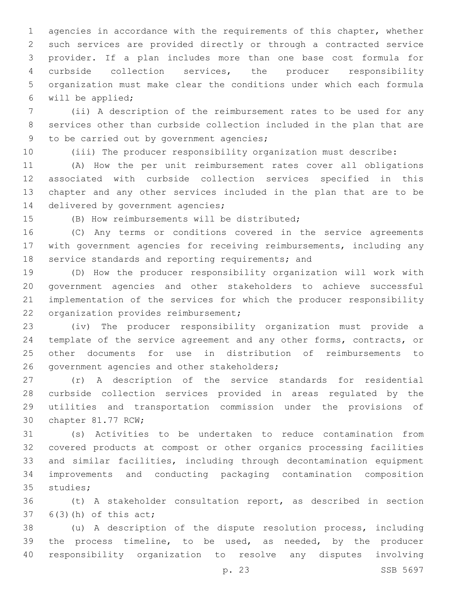agencies in accordance with the requirements of this chapter, whether such services are provided directly or through a contracted service provider. If a plan includes more than one base cost formula for curbside collection services, the producer responsibility organization must make clear the conditions under which each formula will be applied;6

 (ii) A description of the reimbursement rates to be used for any services other than curbside collection included in the plan that are 9 to be carried out by government agencies;

(iii) The producer responsibility organization must describe:

 (A) How the per unit reimbursement rates cover all obligations associated with curbside collection services specified in this chapter and any other services included in the plan that are to be 14 delivered by government agencies;

15 (B) How reimbursements will be distributed:

 (C) Any terms or conditions covered in the service agreements with government agencies for receiving reimbursements, including any 18 service standards and reporting requirements; and

 (D) How the producer responsibility organization will work with government agencies and other stakeholders to achieve successful implementation of the services for which the producer responsibility 22 organization provides reimbursement;

 (iv) The producer responsibility organization must provide a 24 template of the service agreement and any other forms, contracts, or other documents for use in distribution of reimbursements to 26 government agencies and other stakeholders;

 (r) A description of the service standards for residential curbside collection services provided in areas regulated by the utilities and transportation commission under the provisions of 30 chapter 81.77 RCW;

 (s) Activities to be undertaken to reduce contamination from covered products at compost or other organics processing facilities and similar facilities, including through decontamination equipment improvements and conducting packaging contamination composition 35 studies;

 (t) A stakeholder consultation report, as described in section  $6(3)(h)$  of this act;

 (u) A description of the dispute resolution process, including the process timeline, to be used, as needed, by the producer responsibility organization to resolve any disputes involving

p. 23 SSB 5697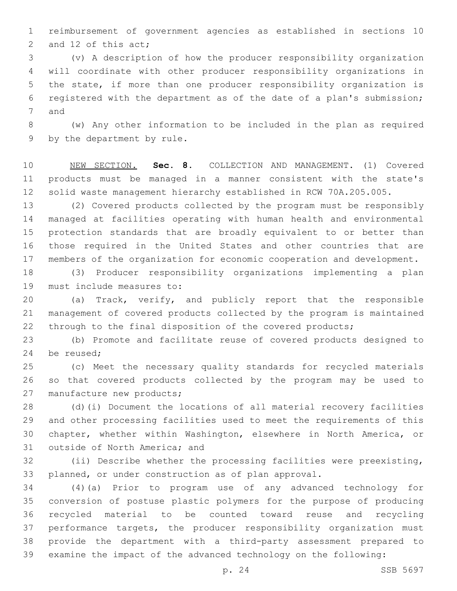reimbursement of government agencies as established in sections 10 2 and 12 of this act;

 (v) A description of how the producer responsibility organization will coordinate with other producer responsibility organizations in the state, if more than one producer responsibility organization is registered with the department as of the date of a plan's submission; 7 and

 (w) Any other information to be included in the plan as required 9 by the department by rule.

 NEW SECTION. **Sec. 8.** COLLECTION AND MANAGEMENT. (1) Covered products must be managed in a manner consistent with the state's solid waste management hierarchy established in RCW 70A.205.005.

 (2) Covered products collected by the program must be responsibly managed at facilities operating with human health and environmental protection standards that are broadly equivalent to or better than those required in the United States and other countries that are members of the organization for economic cooperation and development.

 (3) Producer responsibility organizations implementing a plan 19 must include measures to:

 (a) Track, verify, and publicly report that the responsible management of covered products collected by the program is maintained through to the final disposition of the covered products;

 (b) Promote and facilitate reuse of covered products designed to 24 be reused:

 (c) Meet the necessary quality standards for recycled materials so that covered products collected by the program may be used to 27 manufacture new products;

 (d)(i) Document the locations of all material recovery facilities and other processing facilities used to meet the requirements of this chapter, whether within Washington, elsewhere in North America, or 31 outside of North America; and

 (ii) Describe whether the processing facilities were preexisting, planned, or under construction as of plan approval.

 (4)(a) Prior to program use of any advanced technology for conversion of postuse plastic polymers for the purpose of producing recycled material to be counted toward reuse and recycling performance targets, the producer responsibility organization must provide the department with a third-party assessment prepared to examine the impact of the advanced technology on the following: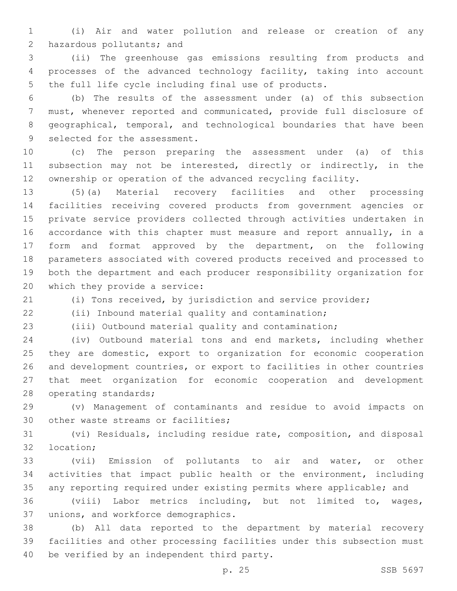(i) Air and water pollution and release or creation of any 2 hazardous pollutants; and

 (ii) The greenhouse gas emissions resulting from products and processes of the advanced technology facility, taking into account the full life cycle including final use of products.

 (b) The results of the assessment under (a) of this subsection must, whenever reported and communicated, provide full disclosure of geographical, temporal, and technological boundaries that have been 9 selected for the assessment.

 (c) The person preparing the assessment under (a) of this 11 subsection may not be interested, directly or indirectly, in the ownership or operation of the advanced recycling facility.

 (5)(a) Material recovery facilities and other processing facilities receiving covered products from government agencies or private service providers collected through activities undertaken in accordance with this chapter must measure and report annually, in a form and format approved by the department, on the following parameters associated with covered products received and processed to both the department and each producer responsibility organization for 20 which they provide a service:

(i) Tons received, by jurisdiction and service provider;

(ii) Inbound material quality and contamination;

(iii) Outbound material quality and contamination;

 (iv) Outbound material tons and end markets, including whether 25 they are domestic, export to organization for economic cooperation and development countries, or export to facilities in other countries that meet organization for economic cooperation and development 28 operating standards;

 (v) Management of contaminants and residue to avoid impacts on 30 other waste streams or facilities;

 (vi) Residuals, including residue rate, composition, and disposal 32 location;

 (vii) Emission of pollutants to air and water, or other activities that impact public health or the environment, including any reporting required under existing permits where applicable; and

 (viii) Labor metrics including, but not limited to, wages, 37 unions, and workforce demographics.

 (b) All data reported to the department by material recovery facilities and other processing facilities under this subsection must 40 be verified by an independent third party.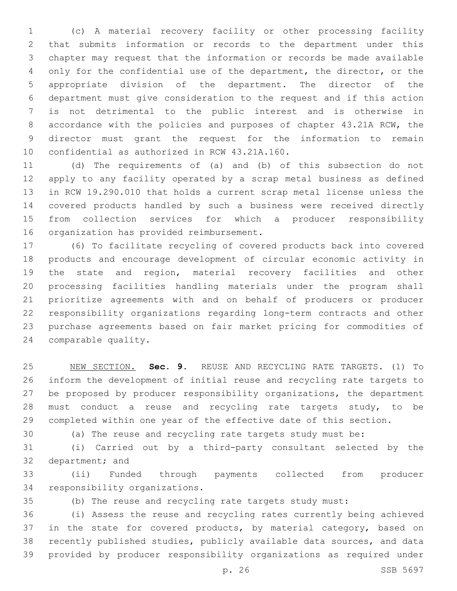(c) A material recovery facility or other processing facility that submits information or records to the department under this chapter may request that the information or records be made available only for the confidential use of the department, the director, or the appropriate division of the department. The director of the department must give consideration to the request and if this action is not detrimental to the public interest and is otherwise in accordance with the policies and purposes of chapter 43.21A RCW, the director must grant the request for the information to remain 10 confidential as authorized in RCW 43.21A.160.

 (d) The requirements of (a) and (b) of this subsection do not apply to any facility operated by a scrap metal business as defined in RCW 19.290.010 that holds a current scrap metal license unless the covered products handled by such a business were received directly from collection services for which a producer responsibility 16 organization has provided reimbursement.

 (6) To facilitate recycling of covered products back into covered products and encourage development of circular economic activity in the state and region, material recovery facilities and other processing facilities handling materials under the program shall prioritize agreements with and on behalf of producers or producer responsibility organizations regarding long-term contracts and other purchase agreements based on fair market pricing for commodities of 24 comparable quality.

 NEW SECTION. **Sec. 9.** REUSE AND RECYCLING RATE TARGETS. (1) To inform the development of initial reuse and recycling rate targets to be proposed by producer responsibility organizations, the department must conduct a reuse and recycling rate targets study, to be completed within one year of the effective date of this section.

(a) The reuse and recycling rate targets study must be:

 (i) Carried out by a third-party consultant selected by the 32 department; and

 (ii) Funded through payments collected from producer 34 responsibility organizations.

(b) The reuse and recycling rate targets study must:

 (i) Assess the reuse and recycling rates currently being achieved 37 in the state for covered products, by material category, based on recently published studies, publicly available data sources, and data provided by producer responsibility organizations as required under

p. 26 SSB 5697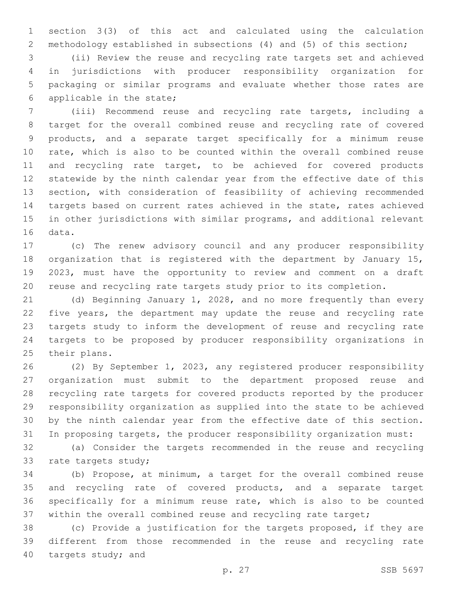section 3(3) of this act and calculated using the calculation methodology established in subsections (4) and (5) of this section;

 (ii) Review the reuse and recycling rate targets set and achieved in jurisdictions with producer responsibility organization for packaging or similar programs and evaluate whether those rates are 6 applicable in the state;

 (iii) Recommend reuse and recycling rate targets, including a target for the overall combined reuse and recycling rate of covered products, and a separate target specifically for a minimum reuse rate, which is also to be counted within the overall combined reuse and recycling rate target, to be achieved for covered products statewide by the ninth calendar year from the effective date of this section, with consideration of feasibility of achieving recommended targets based on current rates achieved in the state, rates achieved in other jurisdictions with similar programs, and additional relevant 16 data.

 (c) The renew advisory council and any producer responsibility organization that is registered with the department by January 15, 2023, must have the opportunity to review and comment on a draft reuse and recycling rate targets study prior to its completion.

 (d) Beginning January 1, 2028, and no more frequently than every 22 five years, the department may update the reuse and recycling rate targets study to inform the development of reuse and recycling rate targets to be proposed by producer responsibility organizations in 25 their plans.

 (2) By September 1, 2023, any registered producer responsibility organization must submit to the department proposed reuse and recycling rate targets for covered products reported by the producer responsibility organization as supplied into the state to be achieved by the ninth calendar year from the effective date of this section. In proposing targets, the producer responsibility organization must:

 (a) Consider the targets recommended in the reuse and recycling 33 rate targets study;

 (b) Propose, at minimum, a target for the overall combined reuse and recycling rate of covered products, and a separate target specifically for a minimum reuse rate, which is also to be counted within the overall combined reuse and recycling rate target;

 (c) Provide a justification for the targets proposed, if they are different from those recommended in the reuse and recycling rate 40 targets study; and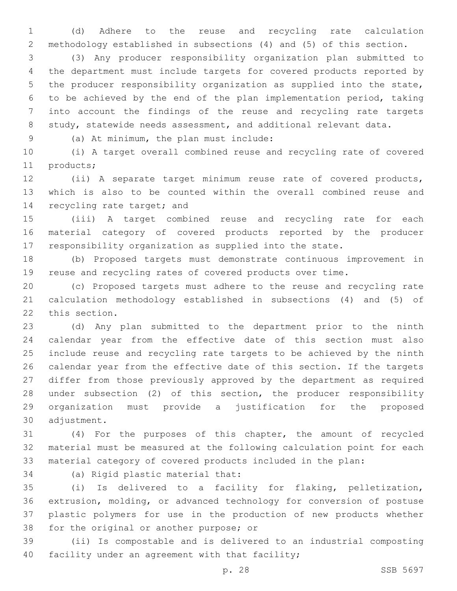(d) Adhere to the reuse and recycling rate calculation methodology established in subsections (4) and (5) of this section.

 (3) Any producer responsibility organization plan submitted to the department must include targets for covered products reported by the producer responsibility organization as supplied into the state, to be achieved by the end of the plan implementation period, taking into account the findings of the reuse and recycling rate targets 8 study, statewide needs assessment, and additional relevant data.

(a) At minimum, the plan must include:9

 (i) A target overall combined reuse and recycling rate of covered 11 products;

 (ii) A separate target minimum reuse rate of covered products, which is also to be counted within the overall combined reuse and 14 recycling rate target; and

 (iii) A target combined reuse and recycling rate for each material category of covered products reported by the producer responsibility organization as supplied into the state.

 (b) Proposed targets must demonstrate continuous improvement in reuse and recycling rates of covered products over time.

 (c) Proposed targets must adhere to the reuse and recycling rate calculation methodology established in subsections (4) and (5) of 22 this section.

 (d) Any plan submitted to the department prior to the ninth calendar year from the effective date of this section must also include reuse and recycling rate targets to be achieved by the ninth calendar year from the effective date of this section. If the targets differ from those previously approved by the department as required under subsection (2) of this section, the producer responsibility organization must provide a justification for the proposed 30 adjustment.

 (4) For the purposes of this chapter, the amount of recycled material must be measured at the following calculation point for each material category of covered products included in the plan:

34 (a) Rigid plastic material that:

 (i) Is delivered to a facility for flaking, pelletization, extrusion, molding, or advanced technology for conversion of postuse plastic polymers for use in the production of new products whether 38 for the original or another purpose; or

 (ii) Is compostable and is delivered to an industrial composting 40 facility under an agreement with that facility;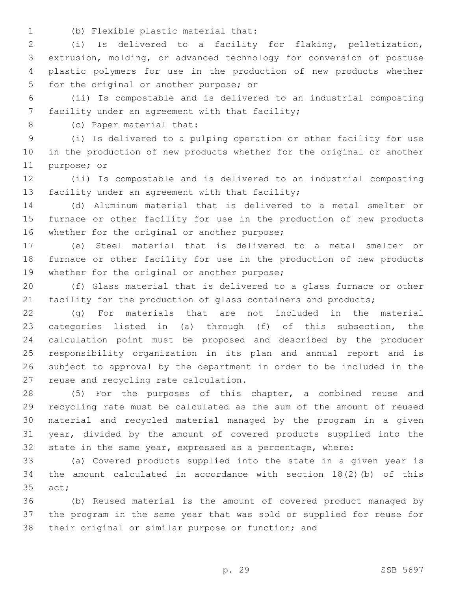(b) Flexible plastic material that:1

 (i) Is delivered to a facility for flaking, pelletization, extrusion, molding, or advanced technology for conversion of postuse plastic polymers for use in the production of new products whether 5 for the original or another purpose; or

 (ii) Is compostable and is delivered to an industrial composting 7 facility under an agreement with that facility;

8 (c) Paper material that:

 (i) Is delivered to a pulping operation or other facility for use in the production of new products whether for the original or another 11 purpose; or

 (ii) Is compostable and is delivered to an industrial composting 13 facility under an agreement with that facility;

 (d) Aluminum material that is delivered to a metal smelter or furnace or other facility for use in the production of new products 16 whether for the original or another purpose;

 (e) Steel material that is delivered to a metal smelter or furnace or other facility for use in the production of new products 19 whether for the original or another purpose;

 (f) Glass material that is delivered to a glass furnace or other 21 facility for the production of glass containers and products;

 (g) For materials that are not included in the material categories listed in (a) through (f) of this subsection, the calculation point must be proposed and described by the producer responsibility organization in its plan and annual report and is subject to approval by the department in order to be included in the 27 reuse and recycling rate calculation.

 (5) For the purposes of this chapter, a combined reuse and recycling rate must be calculated as the sum of the amount of reused material and recycled material managed by the program in a given year, divided by the amount of covered products supplied into the state in the same year, expressed as a percentage, where:

 (a) Covered products supplied into the state in a given year is the amount calculated in accordance with section 18(2)(b) of this 35 act;

 (b) Reused material is the amount of covered product managed by the program in the same year that was sold or supplied for reuse for their original or similar purpose or function; and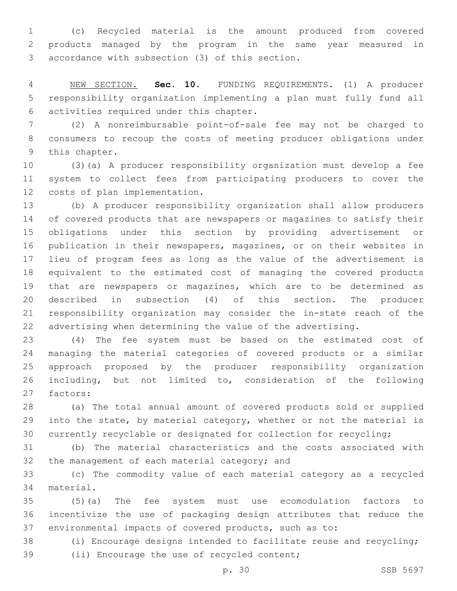(c) Recycled material is the amount produced from covered products managed by the program in the same year measured in 3 accordance with subsection (3) of this section.

 NEW SECTION. **Sec. 10.** FUNDING REQUIREMENTS. (1) A producer responsibility organization implementing a plan must fully fund all activities required under this chapter.

 (2) A nonreimbursable point-of-sale fee may not be charged to consumers to recoup the costs of meeting producer obligations under 9 this chapter.

 (3)(a) A producer responsibility organization must develop a fee system to collect fees from participating producers to cover the 12 costs of plan implementation.

 (b) A producer responsibility organization shall allow producers of covered products that are newspapers or magazines to satisfy their obligations under this section by providing advertisement or publication in their newspapers, magazines, or on their websites in lieu of program fees as long as the value of the advertisement is equivalent to the estimated cost of managing the covered products that are newspapers or magazines, which are to be determined as described in subsection (4) of this section. The producer responsibility organization may consider the in-state reach of the advertising when determining the value of the advertising.

 (4) The fee system must be based on the estimated cost of managing the material categories of covered products or a similar approach proposed by the producer responsibility organization including, but not limited to, consideration of the following 27 factors:

 (a) The total annual amount of covered products sold or supplied into the state, by material category, whether or not the material is currently recyclable or designated for collection for recycling;

 (b) The material characteristics and the costs associated with 32 the management of each material category; and

 (c) The commodity value of each material category as a recycled 34 material.

 (5)(a) The fee system must use ecomodulation factors to incentivize the use of packaging design attributes that reduce the environmental impacts of covered products, such as to:

 (i) Encourage designs intended to facilitate reuse and recycling; 39 (ii) Encourage the use of recycled content;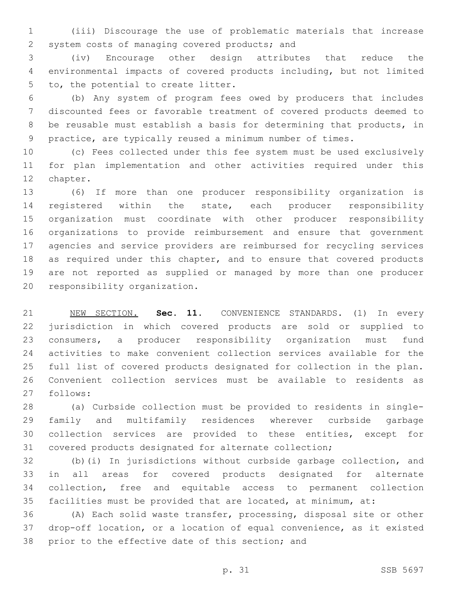(iii) Discourage the use of problematic materials that increase 2 system costs of managing covered products; and

 (iv) Encourage other design attributes that reduce the environmental impacts of covered products including, but not limited 5 to, the potential to create litter.

 (b) Any system of program fees owed by producers that includes discounted fees or favorable treatment of covered products deemed to be reusable must establish a basis for determining that products, in practice, are typically reused a minimum number of times.

 (c) Fees collected under this fee system must be used exclusively for plan implementation and other activities required under this 12 chapter.

 (6) If more than one producer responsibility organization is registered within the state, each producer responsibility organization must coordinate with other producer responsibility organizations to provide reimbursement and ensure that government agencies and service providers are reimbursed for recycling services as required under this chapter, and to ensure that covered products are not reported as supplied or managed by more than one producer 20 responsibility organization.

 NEW SECTION. **Sec. 11.** CONVENIENCE STANDARDS. (1) In every jurisdiction in which covered products are sold or supplied to consumers, a producer responsibility organization must fund activities to make convenient collection services available for the full list of covered products designated for collection in the plan. Convenient collection services must be available to residents as follows:

 (a) Curbside collection must be provided to residents in single- family and multifamily residences wherever curbside garbage collection services are provided to these entities, except for covered products designated for alternate collection;

 (b)(i) In jurisdictions without curbside garbage collection, and in all areas for covered products designated for alternate collection, free and equitable access to permanent collection facilities must be provided that are located, at minimum, at:

 (A) Each solid waste transfer, processing, disposal site or other drop-off location, or a location of equal convenience, as it existed 38 prior to the effective date of this section; and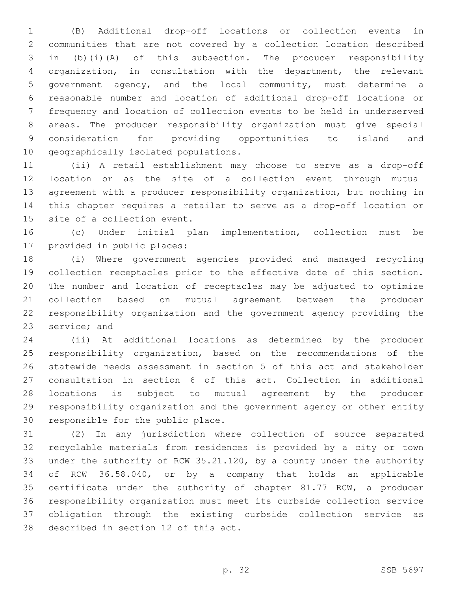(B) Additional drop-off locations or collection events in communities that are not covered by a collection location described in (b)(i)(A) of this subsection. The producer responsibility organization, in consultation with the department, the relevant government agency, and the local community, must determine a reasonable number and location of additional drop-off locations or frequency and location of collection events to be held in underserved areas. The producer responsibility organization must give special consideration for providing opportunities to island and 10 geographically isolated populations.

 (ii) A retail establishment may choose to serve as a drop-off location or as the site of a collection event through mutual agreement with a producer responsibility organization, but nothing in this chapter requires a retailer to serve as a drop-off location or 15 site of a collection event.

 (c) Under initial plan implementation, collection must be 17 provided in public places:

 (i) Where government agencies provided and managed recycling collection receptacles prior to the effective date of this section. The number and location of receptacles may be adjusted to optimize collection based on mutual agreement between the producer responsibility organization and the government agency providing the 23 service; and

 (ii) At additional locations as determined by the producer responsibility organization, based on the recommendations of the statewide needs assessment in section 5 of this act and stakeholder consultation in section 6 of this act. Collection in additional locations is subject to mutual agreement by the producer responsibility organization and the government agency or other entity 30 responsible for the public place.

 (2) In any jurisdiction where collection of source separated recyclable materials from residences is provided by a city or town under the authority of RCW 35.21.120, by a county under the authority of RCW 36.58.040, or by a company that holds an applicable certificate under the authority of chapter 81.77 RCW, a producer responsibility organization must meet its curbside collection service obligation through the existing curbside collection service as 38 described in section 12 of this act.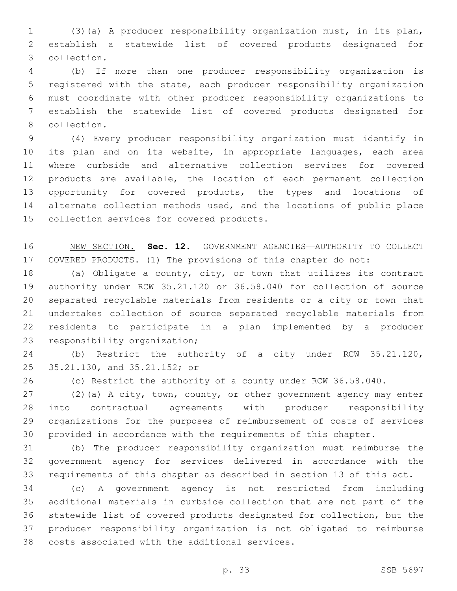(3)(a) A producer responsibility organization must, in its plan, establish a statewide list of covered products designated for collection.3

 (b) If more than one producer responsibility organization is registered with the state, each producer responsibility organization must coordinate with other producer responsibility organizations to establish the statewide list of covered products designated for 8 collection.

 (4) Every producer responsibility organization must identify in its plan and on its website, in appropriate languages, each area where curbside and alternative collection services for covered products are available, the location of each permanent collection opportunity for covered products, the types and locations of alternate collection methods used, and the locations of public place 15 collection services for covered products.

 NEW SECTION. **Sec. 12.** GOVERNMENT AGENCIES—AUTHORITY TO COLLECT COVERED PRODUCTS. (1) The provisions of this chapter do not:

 (a) Obligate a county, city, or town that utilizes its contract authority under RCW 35.21.120 or 36.58.040 for collection of source separated recyclable materials from residents or a city or town that undertakes collection of source separated recyclable materials from residents to participate in a plan implemented by a producer 23 responsibility organization;

 (b) Restrict the authority of a city under RCW 35.21.120, 25 35.21.130, and 35.21.152; or

(c) Restrict the authority of a county under RCW 36.58.040.

 (2)(a) A city, town, county, or other government agency may enter into contractual agreements with producer responsibility organizations for the purposes of reimbursement of costs of services provided in accordance with the requirements of this chapter.

 (b) The producer responsibility organization must reimburse the government agency for services delivered in accordance with the requirements of this chapter as described in section 13 of this act.

 (c) A government agency is not restricted from including additional materials in curbside collection that are not part of the statewide list of covered products designated for collection, but the producer responsibility organization is not obligated to reimburse 38 costs associated with the additional services.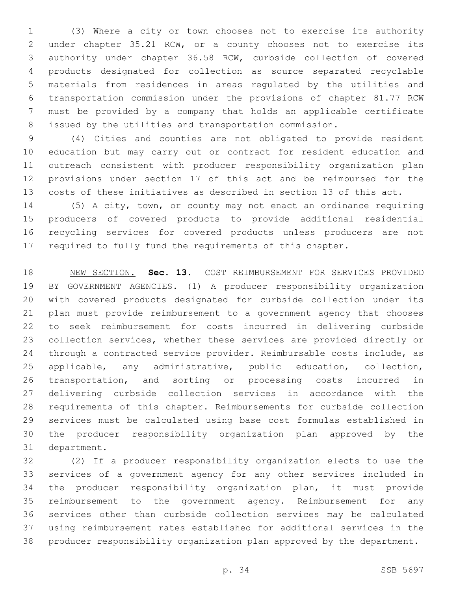(3) Where a city or town chooses not to exercise its authority under chapter 35.21 RCW, or a county chooses not to exercise its authority under chapter 36.58 RCW, curbside collection of covered products designated for collection as source separated recyclable materials from residences in areas regulated by the utilities and transportation commission under the provisions of chapter 81.77 RCW must be provided by a company that holds an applicable certificate issued by the utilities and transportation commission.

 (4) Cities and counties are not obligated to provide resident education but may carry out or contract for resident education and outreach consistent with producer responsibility organization plan provisions under section 17 of this act and be reimbursed for the costs of these initiatives as described in section 13 of this act.

 (5) A city, town, or county may not enact an ordinance requiring producers of covered products to provide additional residential recycling services for covered products unless producers are not required to fully fund the requirements of this chapter.

 NEW SECTION. **Sec. 13.** COST REIMBURSEMENT FOR SERVICES PROVIDED BY GOVERNMENT AGENCIES. (1) A producer responsibility organization with covered products designated for curbside collection under its plan must provide reimbursement to a government agency that chooses to seek reimbursement for costs incurred in delivering curbside collection services, whether these services are provided directly or through a contracted service provider. Reimbursable costs include, as applicable, any administrative, public education, collection, transportation, and sorting or processing costs incurred in delivering curbside collection services in accordance with the requirements of this chapter. Reimbursements for curbside collection services must be calculated using base cost formulas established in the producer responsibility organization plan approved by the department.

 (2) If a producer responsibility organization elects to use the services of a government agency for any other services included in the producer responsibility organization plan, it must provide reimbursement to the government agency. Reimbursement for any services other than curbside collection services may be calculated using reimbursement rates established for additional services in the producer responsibility organization plan approved by the department.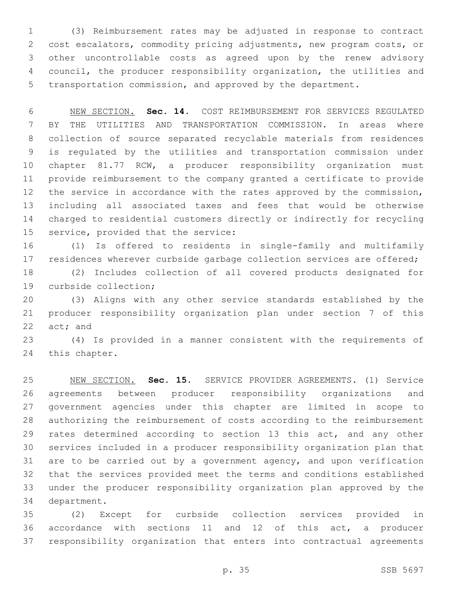(3) Reimbursement rates may be adjusted in response to contract cost escalators, commodity pricing adjustments, new program costs, or other uncontrollable costs as agreed upon by the renew advisory council, the producer responsibility organization, the utilities and transportation commission, and approved by the department.

 NEW SECTION. **Sec. 14.** COST REIMBURSEMENT FOR SERVICES REGULATED BY THE UTILITIES AND TRANSPORTATION COMMISSION. In areas where collection of source separated recyclable materials from residences is regulated by the utilities and transportation commission under chapter 81.77 RCW, a producer responsibility organization must provide reimbursement to the company granted a certificate to provide 12 the service in accordance with the rates approved by the commission, including all associated taxes and fees that would be otherwise charged to residential customers directly or indirectly for recycling service, provided that the service:

 (1) Is offered to residents in single-family and multifamily 17 residences wherever curbside garbage collection services are offered;

 (2) Includes collection of all covered products designated for 19 curbside collection;

 (3) Aligns with any other service standards established by the producer responsibility organization plan under section 7 of this act; and

 (4) Is provided in a manner consistent with the requirements of 24 this chapter.

 NEW SECTION. **Sec. 15.** SERVICE PROVIDER AGREEMENTS. (1) Service agreements between producer responsibility organizations and government agencies under this chapter are limited in scope to authorizing the reimbursement of costs according to the reimbursement rates determined according to section 13 this act, and any other services included in a producer responsibility organization plan that are to be carried out by a government agency, and upon verification that the services provided meet the terms and conditions established under the producer responsibility organization plan approved by the department.

 (2) Except for curbside collection services provided in accordance with sections 11 and 12 of this act, a producer responsibility organization that enters into contractual agreements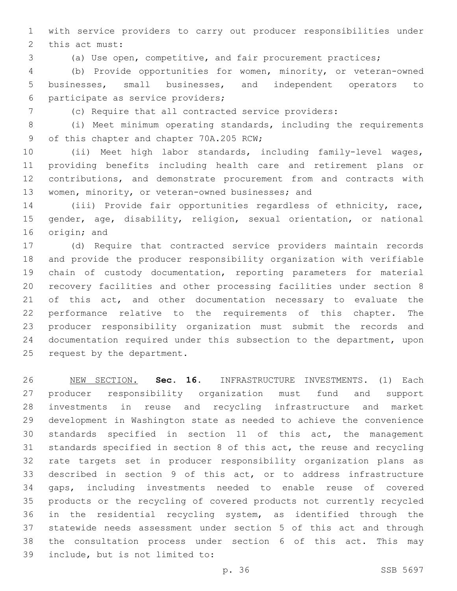with service providers to carry out producer responsibilities under 2 this act must:

(a) Use open, competitive, and fair procurement practices;

 (b) Provide opportunities for women, minority, or veteran-owned businesses, small businesses, and independent operators to 6 participate as service providers;

(c) Require that all contracted service providers:

 (i) Meet minimum operating standards, including the requirements 9 of this chapter and chapter 70A.205 RCW;

 (ii) Meet high labor standards, including family-level wages, providing benefits including health care and retirement plans or contributions, and demonstrate procurement from and contracts with 13 women, minority, or veteran-owned businesses; and

 (iii) Provide fair opportunities regardless of ethnicity, race, gender, age, disability, religion, sexual orientation, or national 16 origin; and

 (d) Require that contracted service providers maintain records and provide the producer responsibility organization with verifiable chain of custody documentation, reporting parameters for material recovery facilities and other processing facilities under section 8 of this act, and other documentation necessary to evaluate the performance relative to the requirements of this chapter. The producer responsibility organization must submit the records and documentation required under this subsection to the department, upon 25 request by the department.

 NEW SECTION. **Sec. 16.** INFRASTRUCTURE INVESTMENTS. (1) Each producer responsibility organization must fund and support investments in reuse and recycling infrastructure and market development in Washington state as needed to achieve the convenience standards specified in section 11 of this act, the management standards specified in section 8 of this act, the reuse and recycling rate targets set in producer responsibility organization plans as described in section 9 of this act, or to address infrastructure gaps, including investments needed to enable reuse of covered products or the recycling of covered products not currently recycled in the residential recycling system, as identified through the statewide needs assessment under section 5 of this act and through the consultation process under section 6 of this act. This may include, but is not limited to: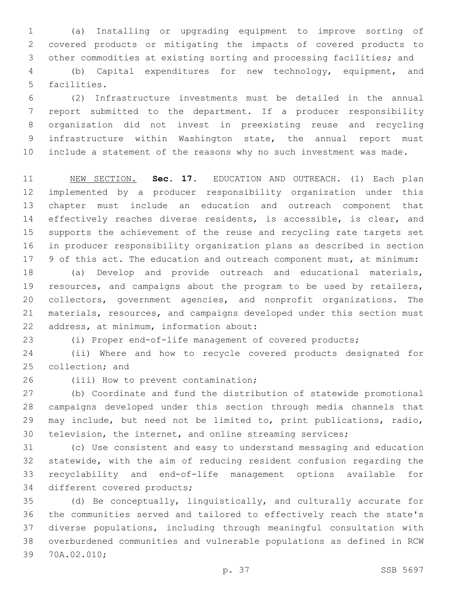(a) Installing or upgrading equipment to improve sorting of covered products or mitigating the impacts of covered products to other commodities at existing sorting and processing facilities; and

 (b) Capital expenditures for new technology, equipment, and 5 facilities.

 (2) Infrastructure investments must be detailed in the annual report submitted to the department. If a producer responsibility organization did not invest in preexisting reuse and recycling infrastructure within Washington state, the annual report must include a statement of the reasons why no such investment was made.

 NEW SECTION. **Sec. 17.** EDUCATION AND OUTREACH. (1) Each plan implemented by a producer responsibility organization under this chapter must include an education and outreach component that 14 effectively reaches diverse residents, is accessible, is clear, and supports the achievement of the reuse and recycling rate targets set in producer responsibility organization plans as described in section 17 9 of this act. The education and outreach component must, at minimum:

 (a) Develop and provide outreach and educational materials, resources, and campaigns about the program to be used by retailers, collectors, government agencies, and nonprofit organizations. The materials, resources, and campaigns developed under this section must 22 address, at minimum, information about:

(i) Proper end-of-life management of covered products;

 (ii) Where and how to recycle covered products designated for 25 collection; and

26 (iii) How to prevent contamination;

 (b) Coordinate and fund the distribution of statewide promotional campaigns developed under this section through media channels that may include, but need not be limited to, print publications, radio, television, the internet, and online streaming services;

 (c) Use consistent and easy to understand messaging and education statewide, with the aim of reducing resident confusion regarding the recyclability and end-of-life management options available for 34 different covered products;

 (d) Be conceptually, linguistically, and culturally accurate for the communities served and tailored to effectively reach the state's diverse populations, including through meaningful consultation with overburdened communities and vulnerable populations as defined in RCW 39 70A.02.010;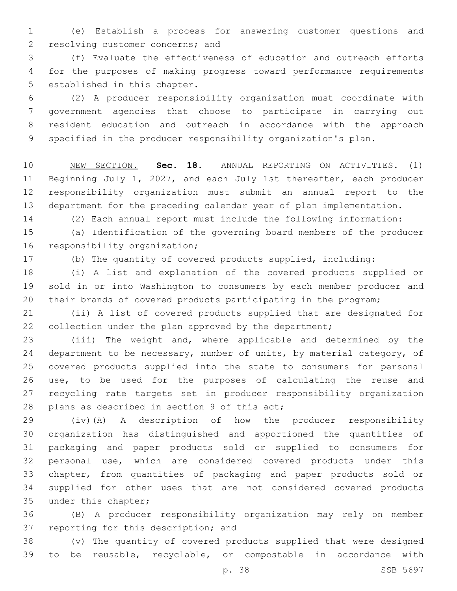(e) Establish a process for answering customer questions and 2 resolving customer concerns; and

 (f) Evaluate the effectiveness of education and outreach efforts for the purposes of making progress toward performance requirements 5 established in this chapter.

 (2) A producer responsibility organization must coordinate with government agencies that choose to participate in carrying out resident education and outreach in accordance with the approach specified in the producer responsibility organization's plan.

 NEW SECTION. **Sec. 18.** ANNUAL REPORTING ON ACTIVITIES. (1) Beginning July 1, 2027, and each July 1st thereafter, each producer responsibility organization must submit an annual report to the department for the preceding calendar year of plan implementation.

(2) Each annual report must include the following information:

 (a) Identification of the governing board members of the producer 16 responsibility organization;

(b) The quantity of covered products supplied, including:

 (i) A list and explanation of the covered products supplied or sold in or into Washington to consumers by each member producer and their brands of covered products participating in the program;

 (ii) A list of covered products supplied that are designated for 22 collection under the plan approved by the department;

 (iii) The weight and, where applicable and determined by the 24 department to be necessary, number of units, by material category, of covered products supplied into the state to consumers for personal use, to be used for the purposes of calculating the reuse and recycling rate targets set in producer responsibility organization 28 plans as described in section 9 of this  $act$ ;

 (iv)(A) A description of how the producer responsibility organization has distinguished and apportioned the quantities of packaging and paper products sold or supplied to consumers for personal use, which are considered covered products under this chapter, from quantities of packaging and paper products sold or supplied for other uses that are not considered covered products 35 under this chapter;

 (B) A producer responsibility organization may rely on member 37 reporting for this description; and

 (v) The quantity of covered products supplied that were designed to be reusable, recyclable, or compostable in accordance with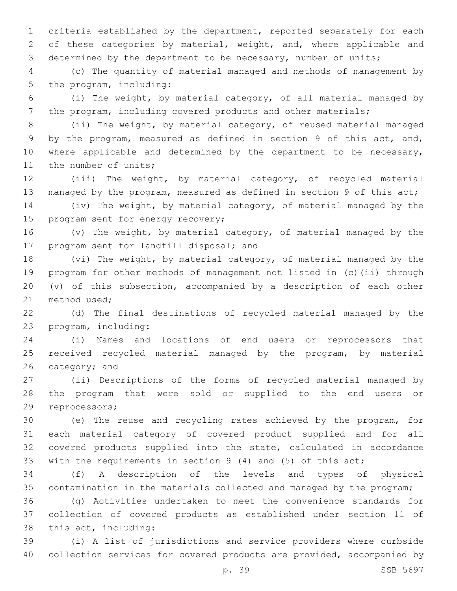criteria established by the department, reported separately for each 2 of these categories by material, weight, and, where applicable and determined by the department to be necessary, number of units;

 (c) The quantity of material managed and methods of management by 5 the program, including:

 (i) The weight, by material category, of all material managed by the program, including covered products and other materials;

 (ii) The weight, by material category, of reused material managed by the program, measured as defined in section 9 of this act, and, 10 where applicable and determined by the department to be necessary, 11 the number of units;

 (iii) The weight, by material category, of recycled material managed by the program, measured as defined in section 9 of this act;

 (iv) The weight, by material category, of material managed by the 15 program sent for energy recovery;

 (v) The weight, by material category, of material managed by the 17 program sent for landfill disposal; and

 (vi) The weight, by material category, of material managed by the program for other methods of management not listed in (c)(ii) through (v) of this subsection, accompanied by a description of each other 21 method used;

 (d) The final destinations of recycled material managed by the 23 program, including:

 (i) Names and locations of end users or reprocessors that received recycled material managed by the program, by material category; and

 (ii) Descriptions of the forms of recycled material managed by the program that were sold or supplied to the end users or 29 reprocessors;

 (e) The reuse and recycling rates achieved by the program, for each material category of covered product supplied and for all covered products supplied into the state, calculated in accordance with the requirements in section 9 (4) and (5) of this act;

 (f) A description of the levels and types of physical contamination in the materials collected and managed by the program;

 (g) Activities undertaken to meet the convenience standards for collection of covered products as established under section 11 of 38 this act, including:

 (i) A list of jurisdictions and service providers where curbside collection services for covered products are provided, accompanied by

p. 39 SSB 5697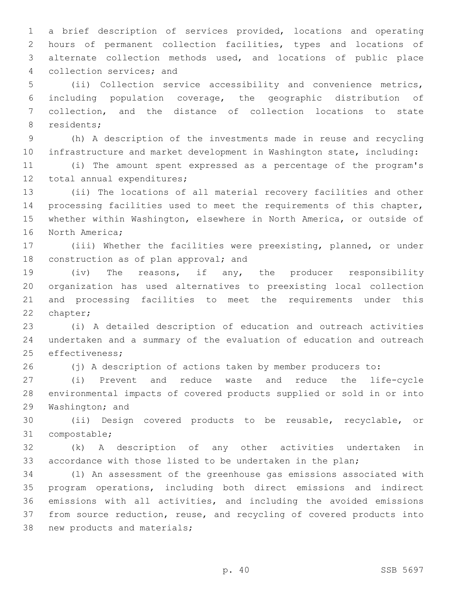a brief description of services provided, locations and operating hours of permanent collection facilities, types and locations of alternate collection methods used, and locations of public place 4 collection services; and

 (ii) Collection service accessibility and convenience metrics, including population coverage, the geographic distribution of collection, and the distance of collection locations to state 8 residents;

 (h) A description of the investments made in reuse and recycling infrastructure and market development in Washington state, including:

 (i) The amount spent expressed as a percentage of the program's 12 total annual expenditures;

 (ii) The locations of all material recovery facilities and other processing facilities used to meet the requirements of this chapter, whether within Washington, elsewhere in North America, or outside of 16 North America;

 (iii) Whether the facilities were preexisting, planned, or under 18 construction as of plan approval; and

 (iv) The reasons, if any, the producer responsibility organization has used alternatives to preexisting local collection and processing facilities to meet the requirements under this 22 chapter;

 (i) A detailed description of education and outreach activities undertaken and a summary of the evaluation of education and outreach 25 effectiveness;

(j) A description of actions taken by member producers to:

 (i) Prevent and reduce waste and reduce the life-cycle environmental impacts of covered products supplied or sold in or into 29 Washington; and

 (ii) Design covered products to be reusable, recyclable, or 31 compostable;

 (k) A description of any other activities undertaken in accordance with those listed to be undertaken in the plan;

 (l) An assessment of the greenhouse gas emissions associated with program operations, including both direct emissions and indirect emissions with all activities, and including the avoided emissions from source reduction, reuse, and recycling of covered products into 38 new products and materials;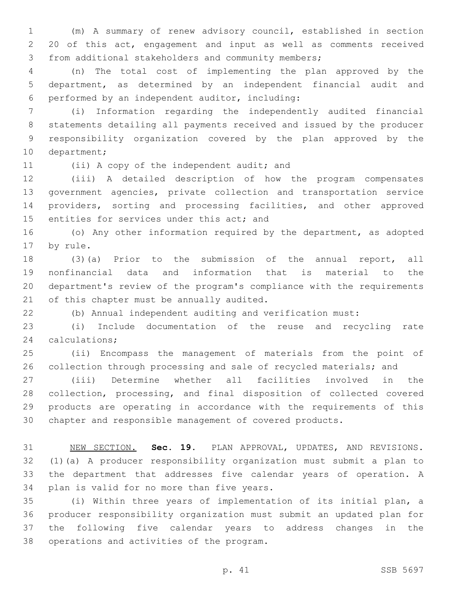(m) A summary of renew advisory council, established in section 20 of this act, engagement and input as well as comments received from additional stakeholders and community members;

 (n) The total cost of implementing the plan approved by the department, as determined by an independent financial audit and performed by an independent auditor, including:6

 (i) Information regarding the independently audited financial statements detailing all payments received and issued by the producer responsibility organization covered by the plan approved by the 10 department;

11 (ii) A copy of the independent audit; and

 (iii) A detailed description of how the program compensates government agencies, private collection and transportation service providers, sorting and processing facilities, and other approved 15 entities for services under this act; and

 (o) Any other information required by the department, as adopted 17 by rule.

 (3)(a) Prior to the submission of the annual report, all nonfinancial data and information that is material to the department's review of the program's compliance with the requirements 21 of this chapter must be annually audited.

(b) Annual independent auditing and verification must:

 (i) Include documentation of the reuse and recycling rate 24 calculations;

 (ii) Encompass the management of materials from the point of 26 collection through processing and sale of recycled materials; and

 (iii) Determine whether all facilities involved in the collection, processing, and final disposition of collected covered products are operating in accordance with the requirements of this chapter and responsible management of covered products.

 NEW SECTION. **Sec. 19.** PLAN APPROVAL, UPDATES, AND REVISIONS. (1)(a) A producer responsibility organization must submit a plan to the department that addresses five calendar years of operation. A plan is valid for no more than five years.

 (i) Within three years of implementation of its initial plan, a producer responsibility organization must submit an updated plan for the following five calendar years to address changes in the 38 operations and activities of the program.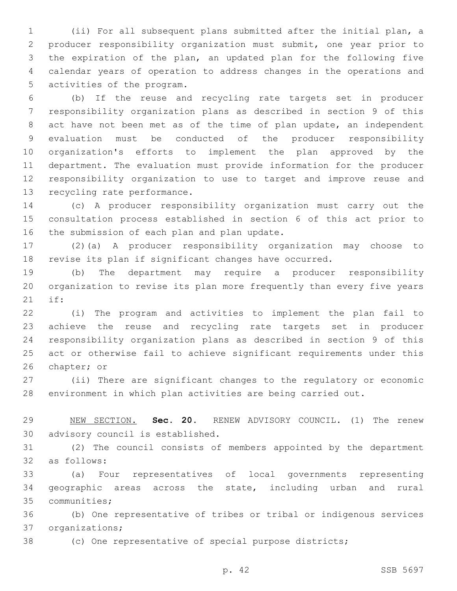(ii) For all subsequent plans submitted after the initial plan, a producer responsibility organization must submit, one year prior to the expiration of the plan, an updated plan for the following five calendar years of operation to address changes in the operations and 5 activities of the program.

 (b) If the reuse and recycling rate targets set in producer responsibility organization plans as described in section 9 of this act have not been met as of the time of plan update, an independent evaluation must be conducted of the producer responsibility organization's efforts to implement the plan approved by the department. The evaluation must provide information for the producer responsibility organization to use to target and improve reuse and 13 recycling rate performance.

 (c) A producer responsibility organization must carry out the consultation process established in section 6 of this act prior to 16 the submission of each plan and plan update.

 (2)(a) A producer responsibility organization may choose to revise its plan if significant changes have occurred.

 (b) The department may require a producer responsibility organization to revise its plan more frequently than every five years if:21

 (i) The program and activities to implement the plan fail to achieve the reuse and recycling rate targets set in producer responsibility organization plans as described in section 9 of this act or otherwise fail to achieve significant requirements under this 26 chapter; or

 (ii) There are significant changes to the regulatory or economic environment in which plan activities are being carried out.

 NEW SECTION. **Sec. 20.** RENEW ADVISORY COUNCIL. (1) The renew advisory council is established.

 (2) The council consists of members appointed by the department as follows:32

 (a) Four representatives of local governments representing geographic areas across the state, including urban and rural 35 communities;

 (b) One representative of tribes or tribal or indigenous services 37 organizations;

(c) One representative of special purpose districts;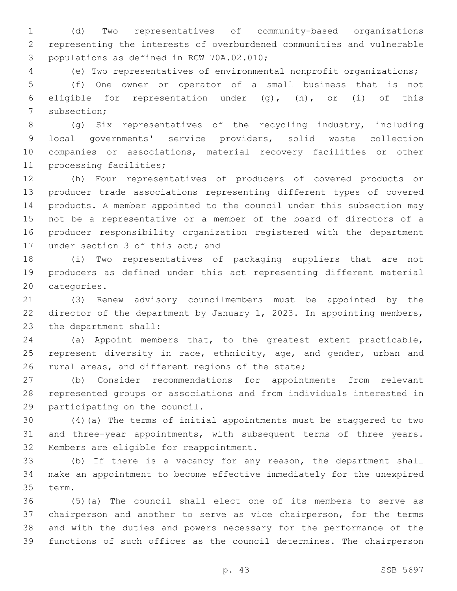(d) Two representatives of community-based organizations representing the interests of overburdened communities and vulnerable 3 populations as defined in RCW 70A.02.010;

(e) Two representatives of environmental nonprofit organizations;

 (f) One owner or operator of a small business that is not eligible for representation under (g), (h), or (i) of this 7 subsection;

 (g) Six representatives of the recycling industry, including local governments' service providers, solid waste collection companies or associations, material recovery facilities or other 11 processing facilities;

 (h) Four representatives of producers of covered products or producer trade associations representing different types of covered products. A member appointed to the council under this subsection may not be a representative or a member of the board of directors of a producer responsibility organization registered with the department 17 under section 3 of this act; and

 (i) Two representatives of packaging suppliers that are not producers as defined under this act representing different material 20 categories.

 (3) Renew advisory councilmembers must be appointed by the 22 director of the department by January 1, 2023. In appointing members, 23 the department shall:

 (a) Appoint members that, to the greatest extent practicable, 25 represent diversity in race, ethnicity, age, and gender, urban and 26 rural areas, and different regions of the state;

 (b) Consider recommendations for appointments from relevant represented groups or associations and from individuals interested in 29 participating on the council.

 (4)(a) The terms of initial appointments must be staggered to two and three-year appointments, with subsequent terms of three years. 32 Members are eligible for reappointment.

 (b) If there is a vacancy for any reason, the department shall make an appointment to become effective immediately for the unexpired 35 term.

 (5)(a) The council shall elect one of its members to serve as chairperson and another to serve as vice chairperson, for the terms and with the duties and powers necessary for the performance of the functions of such offices as the council determines. The chairperson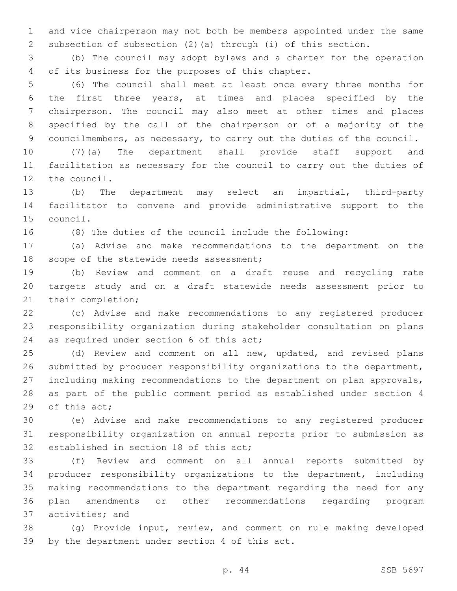and vice chairperson may not both be members appointed under the same subsection of subsection (2)(a) through (i) of this section.

 (b) The council may adopt bylaws and a charter for the operation 4 of its business for the purposes of this chapter.

 (6) The council shall meet at least once every three months for the first three years, at times and places specified by the chairperson. The council may also meet at other times and places specified by the call of the chairperson or of a majority of the councilmembers, as necessary, to carry out the duties of the council.

 (7)(a) The department shall provide staff support and facilitation as necessary for the council to carry out the duties of 12 the council.

 (b) The department may select an impartial, third-party facilitator to convene and provide administrative support to the 15 council.

(8) The duties of the council include the following:

 (a) Advise and make recommendations to the department on the 18 scope of the statewide needs assessment;

 (b) Review and comment on a draft reuse and recycling rate targets study and on a draft statewide needs assessment prior to 21 their completion;

 (c) Advise and make recommendations to any registered producer responsibility organization during stakeholder consultation on plans 24 as required under section 6 of this act;

 (d) Review and comment on all new, updated, and revised plans submitted by producer responsibility organizations to the department, including making recommendations to the department on plan approvals, as part of the public comment period as established under section 4 29 of this act;

 (e) Advise and make recommendations to any registered producer responsibility organization on annual reports prior to submission as 32 established in section 18 of this act;

 (f) Review and comment on all annual reports submitted by producer responsibility organizations to the department, including making recommendations to the department regarding the need for any plan amendments or other recommendations regarding program 37 activities; and

 (g) Provide input, review, and comment on rule making developed 39 by the department under section 4 of this act.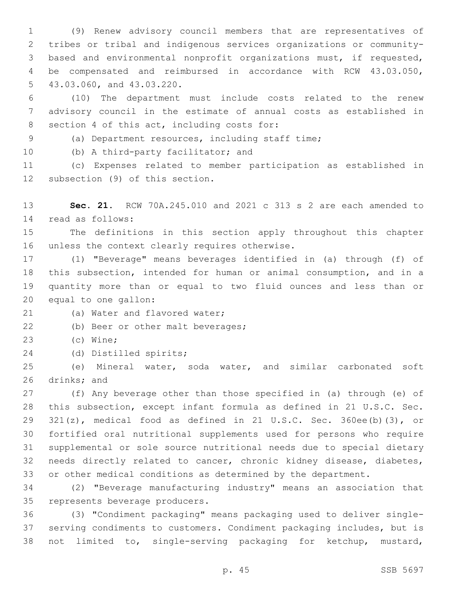(9) Renew advisory council members that are representatives of tribes or tribal and indigenous services organizations or community- based and environmental nonprofit organizations must, if requested, be compensated and reimbursed in accordance with RCW 43.03.050, 5 43.03.060, and 43.03.220.

 (10) The department must include costs related to the renew advisory council in the estimate of annual costs as established in 8 section 4 of this act, including costs for:

(a) Department resources, including staff time;

10 (b) A third-party facilitator; and

 (c) Expenses related to member participation as established in 12 subsection (9) of this section.

 **Sec. 21.** RCW 70A.245.010 and 2021 c 313 s 2 are each amended to read as follows:14

 The definitions in this section apply throughout this chapter 16 unless the context clearly requires otherwise.

 (1) "Beverage" means beverages identified in (a) through (f) of this subsection, intended for human or animal consumption, and in a quantity more than or equal to two fluid ounces and less than or 20 equal to one gallon:

21 (a) Water and flavored water;

22 (b) Beer or other malt beverages;

23 (c) Wine;

24 (d) Distilled spirits;

 (e) Mineral water, soda water, and similar carbonated soft 26 drinks; and

 (f) Any beverage other than those specified in (a) through (e) of this subsection, except infant formula as defined in 21 U.S.C. Sec. 321(z), medical food as defined in 21 U.S.C. Sec. 360ee(b)(3), or fortified oral nutritional supplements used for persons who require supplemental or sole source nutritional needs due to special dietary needs directly related to cancer, chronic kidney disease, diabetes, or other medical conditions as determined by the department.

 (2) "Beverage manufacturing industry" means an association that 35 represents beverage producers.

 (3) "Condiment packaging" means packaging used to deliver single- serving condiments to customers. Condiment packaging includes, but is not limited to, single-serving packaging for ketchup, mustard,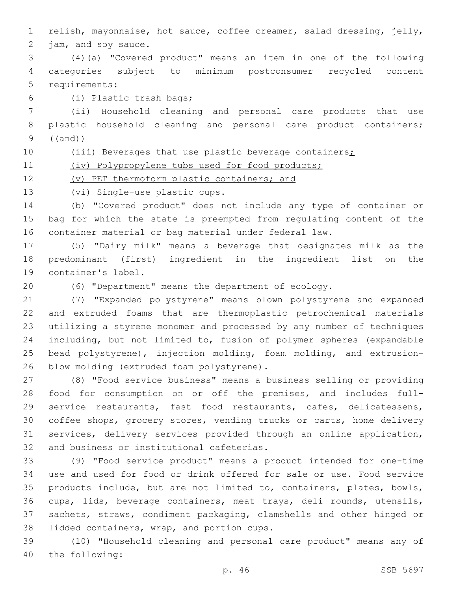relish, mayonnaise, hot sauce, coffee creamer, salad dressing, jelly, 2 jam, and soy sauce.

 (4)(a) "Covered product" means an item in one of the following categories subject to minimum postconsumer recycled content 5 requirements:

(i) Plastic trash bags;6

 (ii) Household cleaning and personal care products that use 8 plastic household cleaning and personal care product containers; ((and))

10 (iii) Beverages that use plastic beverage containers;

(iv) Polypropylene tubs used for food products;

(v) PET thermoform plastic containers; and

13 (vi) Single-use plastic cups.

 (b) "Covered product" does not include any type of container or bag for which the state is preempted from regulating content of the container material or bag material under federal law.

 (5) "Dairy milk" means a beverage that designates milk as the predominant (first) ingredient in the ingredient list on the 19 container's label.

(6) "Department" means the department of ecology.

 (7) "Expanded polystyrene" means blown polystyrene and expanded and extruded foams that are thermoplastic petrochemical materials utilizing a styrene monomer and processed by any number of techniques including, but not limited to, fusion of polymer spheres (expandable bead polystyrene), injection molding, foam molding, and extrusion-26 blow molding (extruded foam polystyrene).

 (8) "Food service business" means a business selling or providing food for consumption on or off the premises, and includes full- service restaurants, fast food restaurants, cafes, delicatessens, coffee shops, grocery stores, vending trucks or carts, home delivery services, delivery services provided through an online application, 32 and business or institutional cafeterias.

 (9) "Food service product" means a product intended for one-time use and used for food or drink offered for sale or use. Food service products include, but are not limited to, containers, plates, bowls, cups, lids, beverage containers, meat trays, deli rounds, utensils, sachets, straws, condiment packaging, clamshells and other hinged or 38 lidded containers, wrap, and portion cups.

 (10) "Household cleaning and personal care product" means any of 40 the following: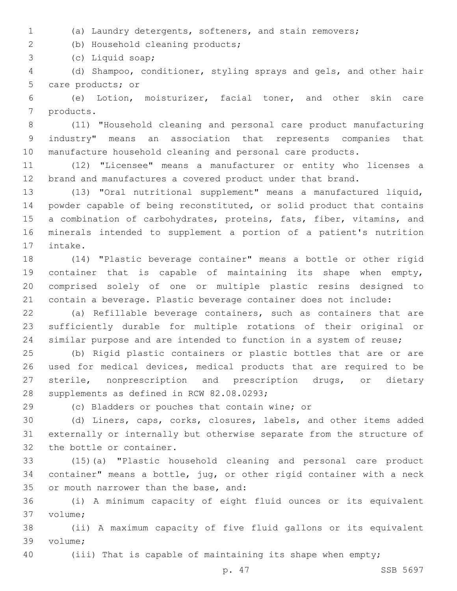(a) Laundry detergents, softeners, and stain removers;

(b) Household cleaning products;2

(c) Liquid soap;3

 (d) Shampoo, conditioner, styling sprays and gels, and other hair 5 care products; or

 (e) Lotion, moisturizer, facial toner, and other skin care 7 products.

 (11) "Household cleaning and personal care product manufacturing industry" means an association that represents companies that manufacture household cleaning and personal care products.

 (12) "Licensee" means a manufacturer or entity who licenses a brand and manufactures a covered product under that brand.

 (13) "Oral nutritional supplement" means a manufactured liquid, powder capable of being reconstituted, or solid product that contains 15 a combination of carbohydrates, proteins, fats, fiber, vitamins, and minerals intended to supplement a portion of a patient's nutrition 17 intake.

 (14) "Plastic beverage container" means a bottle or other rigid container that is capable of maintaining its shape when empty, comprised solely of one or multiple plastic resins designed to contain a beverage. Plastic beverage container does not include:

 (a) Refillable beverage containers, such as containers that are sufficiently durable for multiple rotations of their original or similar purpose and are intended to function in a system of reuse;

 (b) Rigid plastic containers or plastic bottles that are or are used for medical devices, medical products that are required to be sterile, nonprescription and prescription drugs, or dietary 28 supplements as defined in RCW 82.08.0293;

29 (c) Bladders or pouches that contain wine; or

 (d) Liners, caps, corks, closures, labels, and other items added externally or internally but otherwise separate from the structure of 32 the bottle or container.

 (15)(a) "Plastic household cleaning and personal care product container" means a bottle, jug, or other rigid container with a neck 35 or mouth narrower than the base, and:

 (i) A minimum capacity of eight fluid ounces or its equivalent 37 volume:

 (ii) A maximum capacity of five fluid gallons or its equivalent 39 volume;

(iii) That is capable of maintaining its shape when empty;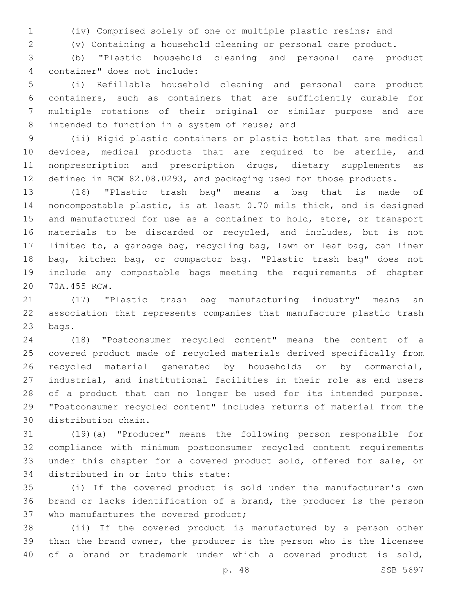(iv) Comprised solely of one or multiple plastic resins; and

(v) Containing a household cleaning or personal care product.

 (b) "Plastic household cleaning and personal care product container" does not include:4

 (i) Refillable household cleaning and personal care product containers, such as containers that are sufficiently durable for multiple rotations of their original or similar purpose and are 8 intended to function in a system of reuse; and

 (ii) Rigid plastic containers or plastic bottles that are medical devices, medical products that are required to be sterile, and nonprescription and prescription drugs, dietary supplements as defined in RCW 82.08.0293, and packaging used for those products.

 (16) "Plastic trash bag" means a bag that is made of noncompostable plastic, is at least 0.70 mils thick, and is designed 15 and manufactured for use as a container to hold, store, or transport materials to be discarded or recycled, and includes, but is not limited to, a garbage bag, recycling bag, lawn or leaf bag, can liner bag, kitchen bag, or compactor bag. "Plastic trash bag" does not include any compostable bags meeting the requirements of chapter 20 70A.455 RCW.

 (17) "Plastic trash bag manufacturing industry" means an association that represents companies that manufacture plastic trash 23 bags.

 (18) "Postconsumer recycled content" means the content of a covered product made of recycled materials derived specifically from recycled material generated by households or by commercial, industrial, and institutional facilities in their role as end users of a product that can no longer be used for its intended purpose. "Postconsumer recycled content" includes returns of material from the 30 distribution chain.

 (19)(a) "Producer" means the following person responsible for compliance with minimum postconsumer recycled content requirements under this chapter for a covered product sold, offered for sale, or 34 distributed in or into this state:

 (i) If the covered product is sold under the manufacturer's own brand or lacks identification of a brand, the producer is the person 37 who manufactures the covered product;

 (ii) If the covered product is manufactured by a person other than the brand owner, the producer is the person who is the licensee of a brand or trademark under which a covered product is sold,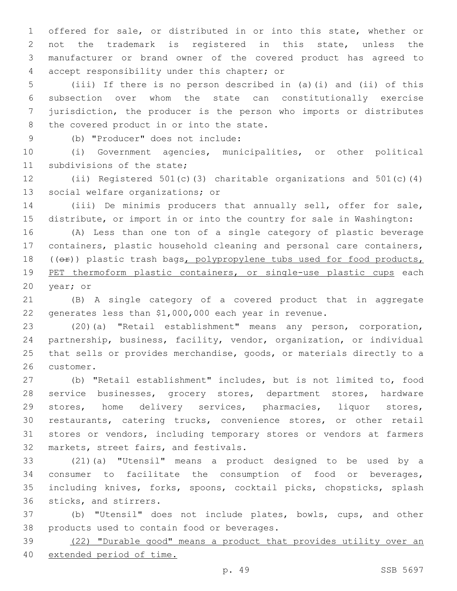offered for sale, or distributed in or into this state, whether or not the trademark is registered in this state, unless the manufacturer or brand owner of the covered product has agreed to accept responsibility under this chapter; or4

 (iii) If there is no person described in (a)(i) and (ii) of this subsection over whom the state can constitutionally exercise jurisdiction, the producer is the person who imports or distributes 8 the covered product in or into the state.

(b) "Producer" does not include:9

 (i) Government agencies, municipalities, or other political 11 subdivisions of the state;

 (ii) Registered 501(c)(3) charitable organizations and 501(c)(4) 13 social welfare organizations; or

 (iii) De minimis producers that annually sell, offer for sale, distribute, or import in or into the country for sale in Washington:

 (A) Less than one ton of a single category of plastic beverage containers, plastic household cleaning and personal care containers, 18 (( $\Theta$ ) plastic trash bags, polypropylene tubs used for food products, 19 PET thermoform plastic containers, or single-use plastic cups each 20 year; or

 (B) A single category of a covered product that in aggregate generates less than \$1,000,000 each year in revenue.

 (20)(a) "Retail establishment" means any person, corporation, partnership, business, facility, vendor, organization, or individual that sells or provides merchandise, goods, or materials directly to a 26 customer.

 (b) "Retail establishment" includes, but is not limited to, food 28 service businesses, grocery stores, department stores, hardware stores, home delivery services, pharmacies, liquor stores, restaurants, catering trucks, convenience stores, or other retail stores or vendors, including temporary stores or vendors at farmers 32 markets, street fairs, and festivals.

 (21)(a) "Utensil" means a product designed to be used by a consumer to facilitate the consumption of food or beverages, including knives, forks, spoons, cocktail picks, chopsticks, splash 36 sticks, and stirrers.

 (b) "Utensil" does not include plates, bowls, cups, and other 38 products used to contain food or beverages.

 (22) "Durable good" means a product that provides utility over an extended period of time.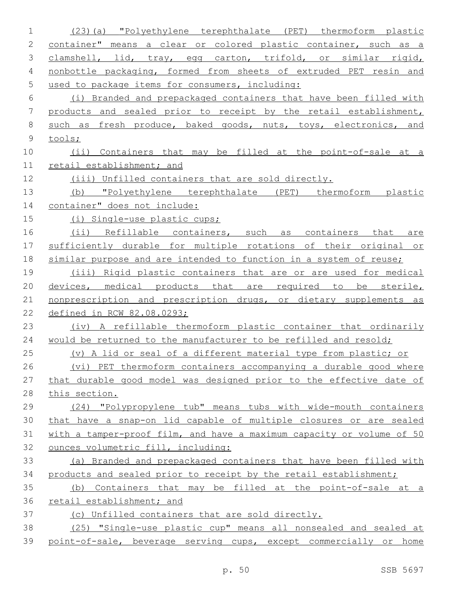| 1           | (23)(a) "Polyethylene terephthalate (PET) thermoform plastic          |
|-------------|-----------------------------------------------------------------------|
| 2           | container" means a clear or colored plastic container, such as a      |
| 3           | clamshell, lid, tray, egg carton, trifold, or similar rigid,          |
| 4           | nonbottle packaging, formed from sheets of extruded PET resin and     |
| 5           | used to package items for consumers, including:                       |
| 6           | (i) Branded and prepackaged containers that have been filled with     |
| 7           | products and sealed prior to receipt by the retail establishment,     |
| 8           | such as fresh produce, baked goods, nuts, toys, electronics, and      |
| $\mathsf 9$ | tools;                                                                |
| 10          | (ii) Containers that may be filled at the point-of-sale at a          |
| 11          | retail establishment; and                                             |
| 12          | (iii) Unfilled containers that are sold directly.                     |
| 13          | (b) "Polyethylene terephthalate (PET) thermoform plastic              |
| 14          | container" does not include:                                          |
| 15          | (i) Single-use plastic cups;                                          |
| 16          | (ii) Refillable containers, such as containers that<br>are            |
| 17          | sufficiently durable for multiple rotations of their original or      |
| 18          | similar purpose and are intended to function in a system of reuse;    |
| 19          | (iii) Rigid plastic containers that are or are used for medical       |
| 20          | devices, medical products that are required to be sterile,            |
| 21          | nonprescription and prescription drugs, or dietary supplements as     |
| 22          | defined in RCW 82.08.0293;                                            |
| 23          | (iv) A refillable thermoform plastic container that ordinarily        |
| 24          | would be returned to the manufacturer to be refilled and resold;      |
| 25          | (v) A lid or seal of a different material type from plastic; or       |
| 26          | (vi) PET thermoform containers accompanying a durable good where      |
| 27          | that durable good model was designed prior to the effective date of   |
| 28          | this section.                                                         |
| 29          | (24) "Polypropylene tub" means tubs with wide-mouth containers        |
| 30          | that have a snap-on lid capable of multiple closures or are sealed    |
| 31          | with a tamper-proof film, and have a maximum capacity or volume of 50 |
| 32          | ounces volumetric fill, including:                                    |
| 33          | (a) Branded and prepackaged containers that have been filled with     |
| 34          | products and sealed prior to receipt by the retail establishment;     |
| 35          | Containers that may be filled at the point-of-sale at a<br>(b)        |
| 36          | retail establishment; and                                             |
| 37          | (c) Unfilled containers that are sold directly.                       |
| 38          | (25) "Single-use plastic cup" means all nonsealed and sealed at       |
| 39          | point-of-sale, beverage serving cups, except commercially or home     |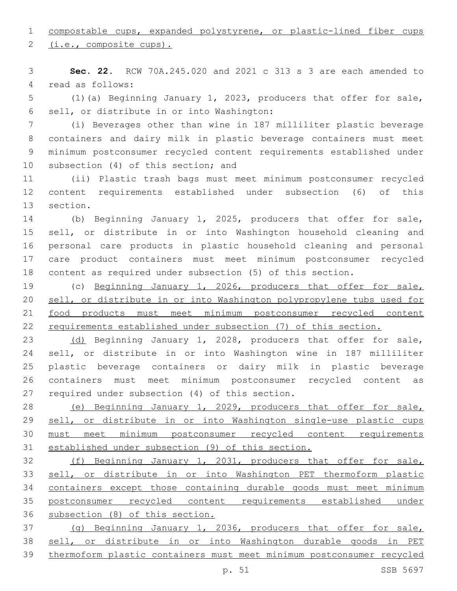## compostable cups, expanded polystyrene, or plastic-lined fiber cups

2 (i.e., composite cups).

 **Sec. 22.** RCW 70A.245.020 and 2021 c 313 s 3 are each amended to 4 read as follows:

 (1)(a) Beginning January 1, 2023, producers that offer for sale, 6 sell, or distribute in or into Washington:

 (i) Beverages other than wine in 187 milliliter plastic beverage containers and dairy milk in plastic beverage containers must meet minimum postconsumer recycled content requirements established under 10 subsection (4) of this section; and

 (ii) Plastic trash bags must meet minimum postconsumer recycled content requirements established under subsection (6) of this 13 section.

 (b) Beginning January 1, 2025, producers that offer for sale, sell, or distribute in or into Washington household cleaning and personal care products in plastic household cleaning and personal care product containers must meet minimum postconsumer recycled content as required under subsection (5) of this section.

 (c) Beginning January 1, 2026, producers that offer for sale, sell, or distribute in or into Washington polypropylene tubs used for food products must meet minimum postconsumer recycled content requirements established under subsection (7) of this section.

 (d) Beginning January 1, 2028, producers that offer for sale, sell, or distribute in or into Washington wine in 187 milliliter plastic beverage containers or dairy milk in plastic beverage containers must meet minimum postconsumer recycled content as 27 required under subsection (4) of this section.

 (e) Beginning January 1, 2029, producers that offer for sale, sell, or distribute in or into Washington single-use plastic cups must meet minimum postconsumer recycled content requirements established under subsection (9) of this section.

 (f) Beginning January 1, 2031, producers that offer for sale, sell, or distribute in or into Washington PET thermoform plastic containers except those containing durable goods must meet minimum postconsumer recycled content requirements established under subsection (8) of this section.

 (g) Beginning January 1, 2036, producers that offer for sale, sell, or distribute in or into Washington durable goods in PET thermoform plastic containers must meet minimum postconsumer recycled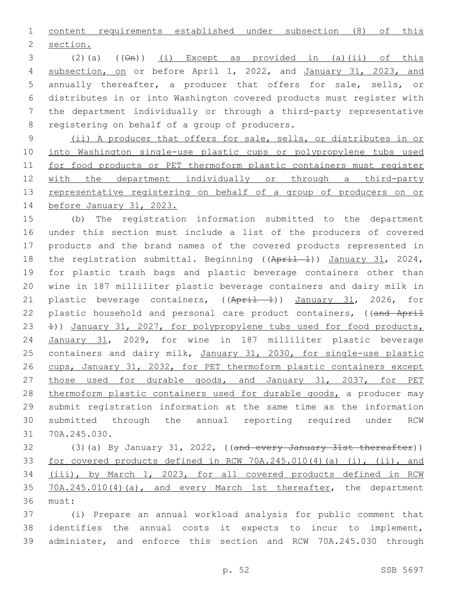content requirements established under subsection (8) of this 2 section.

3 (2)(a)  $((\Theta n))$  (i) Except as provided in (a)(ii) of this 4 subsection, on or before April 1, 2022, and January 31, 2023, and annually thereafter, a producer that offers for sale, sells, or distributes in or into Washington covered products must register with the department individually or through a third-party representative 8 registering on behalf of a group of producers.

 (ii) A producer that offers for sale, sells, or distributes in or into Washington single-use plastic cups or polypropylene tubs used for food products or PET thermoform plastic containers must register with the department individually or through a third-party 13 representative registering on behalf of a group of producers on or before January 31, 2023.

 (b) The registration information submitted to the department under this section must include a list of the producers of covered products and the brand names of the covered products represented in 18 the registration submittal. Beginning ((April 1)) January 31, 2024, for plastic trash bags and plastic beverage containers other than wine in 187 milliliter plastic beverage containers and dairy milk in 21 plastic beverage containers, ((April 1)) January 31, 2026, for 22 plastic household and personal care product containers, ((and April 1)) January 31, 2027, for polypropylene tubs used for food products, January 31, 2029, for wine in 187 milliliter plastic beverage 25 containers and dairy milk, January 31, 2030, for single-use plastic cups, January 31, 2032, for PET thermoform plastic containers except those used for durable goods, and January 31, 2037, for PET 28 thermoform plastic containers used for durable goods, a producer may submit registration information at the same time as the information submitted through the annual reporting required under RCW 31 70A.245.030.

32 (3)(a) By January 31, 2022, ((and every January 31st thereafter)) for covered products defined in RCW 70A.245.010(4)(a) (i), (ii), and (iii), by March 1, 2023, for all covered products defined in RCW 35 70A.245.010(4)(a), and every March 1st thereafter, the department 36 must:

 (i) Prepare an annual workload analysis for public comment that identifies the annual costs it expects to incur to implement, administer, and enforce this section and RCW 70A.245.030 through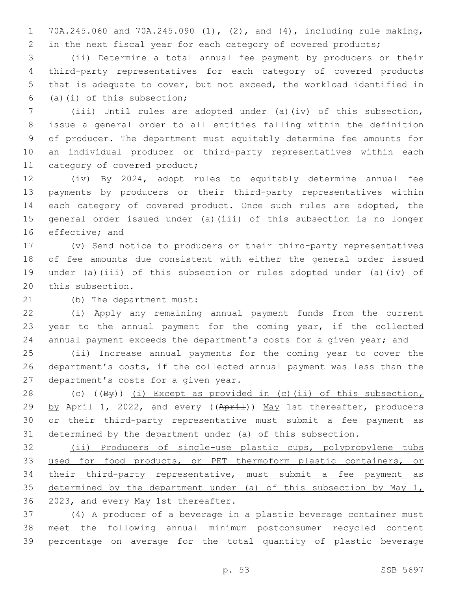70A.245.060 and 70A.245.090 (1), (2), and (4), including rule making, 2 in the next fiscal year for each category of covered products;

 (ii) Determine a total annual fee payment by producers or their third-party representatives for each category of covered products that is adequate to cover, but not exceed, the workload identified in  $(5)(i)$  of this subsection;

 (iii) Until rules are adopted under (a)(iv) of this subsection, issue a general order to all entities falling within the definition of producer. The department must equitably determine fee amounts for an individual producer or third-party representatives within each 11 category of covered product;

 (iv) By 2024, adopt rules to equitably determine annual fee payments by producers or their third-party representatives within 14 each category of covered product. Once such rules are adopted, the general order issued under (a)(iii) of this subsection is no longer 16 effective; and

 (v) Send notice to producers or their third-party representatives of fee amounts due consistent with either the general order issued under (a)(iii) of this subsection or rules adopted under (a)(iv) of 20 this subsection.

21 (b) The department must:

 (i) Apply any remaining annual payment funds from the current year to the annual payment for the coming year, if the collected annual payment exceeds the department's costs for a given year; and

 (ii) Increase annual payments for the coming year to cover the department's costs, if the collected annual payment was less than the 27 department's costs for a given year.

28 (c)  $(\sqrt{By})$  (i) Except as provided in (c)(ii) of this subsection, 29 by April 1, 2022, and every ((April)) May 1st thereafter, producers or their third-party representative must submit a fee payment as determined by the department under (a) of this subsection.

 (ii) Producers of single-use plastic cups, polypropylene tubs used for food products, or PET thermoform plastic containers, or their third-party representative, must submit a fee payment as 35 determined by the department under (a) of this subsection by May 1, 2023, and every May 1st thereafter.

 (4) A producer of a beverage in a plastic beverage container must meet the following annual minimum postconsumer recycled content percentage on average for the total quantity of plastic beverage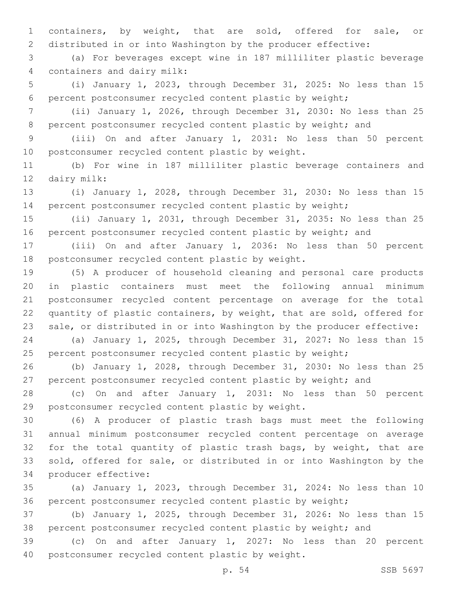containers, by weight, that are sold, offered for sale, or distributed in or into Washington by the producer effective:

 (a) For beverages except wine in 187 milliliter plastic beverage containers and dairy milk:4

 (i) January 1, 2023, through December 31, 2025: No less than 15 percent postconsumer recycled content plastic by weight;

 (ii) January 1, 2026, through December 31, 2030: No less than 25 8 percent postconsumer recycled content plastic by weight; and

 (iii) On and after January 1, 2031: No less than 50 percent 10 postconsumer recycled content plastic by weight.

 (b) For wine in 187 milliliter plastic beverage containers and 12 dairy milk:

 (i) January 1, 2028, through December 31, 2030: No less than 15 percent postconsumer recycled content plastic by weight;

 (ii) January 1, 2031, through December 31, 2035: No less than 25 16 percent postconsumer recycled content plastic by weight; and

 (iii) On and after January 1, 2036: No less than 50 percent 18 postconsumer recycled content plastic by weight.

 (5) A producer of household cleaning and personal care products in plastic containers must meet the following annual minimum postconsumer recycled content percentage on average for the total quantity of plastic containers, by weight, that are sold, offered for sale, or distributed in or into Washington by the producer effective:

 (a) January 1, 2025, through December 31, 2027: No less than 15 25 percent postconsumer recycled content plastic by weight;

 (b) January 1, 2028, through December 31, 2030: No less than 25 27 percent postconsumer recycled content plastic by weight; and

 (c) On and after January 1, 2031: No less than 50 percent 29 postconsumer recycled content plastic by weight.

 (6) A producer of plastic trash bags must meet the following annual minimum postconsumer recycled content percentage on average 32 for the total quantity of plastic trash bags, by weight, that are sold, offered for sale, or distributed in or into Washington by the 34 producer effective:

 (a) January 1, 2023, through December 31, 2024: No less than 10 percent postconsumer recycled content plastic by weight;

 (b) January 1, 2025, through December 31, 2026: No less than 15 percent postconsumer recycled content plastic by weight; and

 (c) On and after January 1, 2027: No less than 20 percent 40 postconsumer recycled content plastic by weight.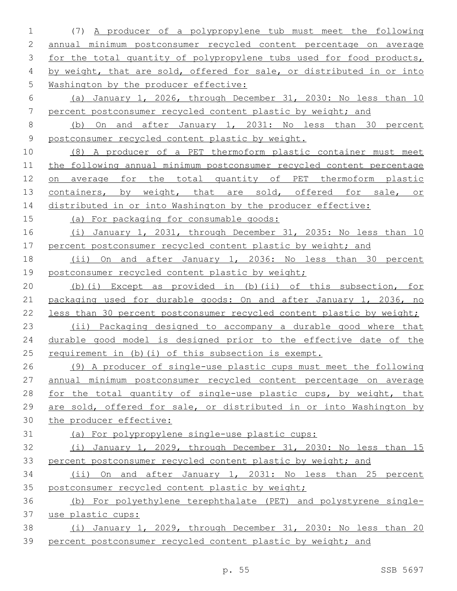(7) A producer of a polypropylene tub must meet the following annual minimum postconsumer recycled content percentage on average 3 for the total quantity of polypropylene tubs used for food products, 4 by weight, that are sold, offered for sale, or distributed in or into Washington by the producer effective: (a) January 1, 2026, through December 31, 2030: No less than 10 percent postconsumer recycled content plastic by weight; and (b) On and after January 1, 2031: No less than 30 percent postconsumer recycled content plastic by weight. (8) A producer of a PET thermoform plastic container must meet the following annual minimum postconsumer recycled content percentage on average for the total quantity of PET thermoform plastic 13 containers, by weight, that are sold, offered for sale, or 14 distributed in or into Washington by the producer effective: (a) For packaging for consumable goods: (i) January 1, 2031, through December 31, 2035: No less than 10 17 percent postconsumer recycled content plastic by weight; and 18 (ii) On and after January 1, 2036: No less than 30 percent 19 postconsumer recycled content plastic by weight; (b)(i) Except as provided in (b)(ii) of this subsection, for 21 packaging used for durable goods: On and after January 1, 2036, no less than 30 percent postconsumer recycled content plastic by weight; (ii) Packaging designed to accompany a durable good where that 24 durable good model is designed prior to the effective date of the 25 requirement in (b)(i) of this subsection is exempt. (9) A producer of single-use plastic cups must meet the following annual minimum postconsumer recycled content percentage on average 28 for the total quantity of single-use plastic cups, by weight, that are sold, offered for sale, or distributed in or into Washington by the producer effective: (a) For polypropylene single-use plastic cups: (i) January 1, 2029, through December 31, 2030: No less than 15 percent postconsumer recycled content plastic by weight; and (ii) On and after January 1, 2031: No less than 25 percent postconsumer recycled content plastic by weight; (b) For polyethylene terephthalate (PET) and polystyrene single- use plastic cups: (i) January 1, 2029, through December 31, 2030: No less than 20 percent postconsumer recycled content plastic by weight; and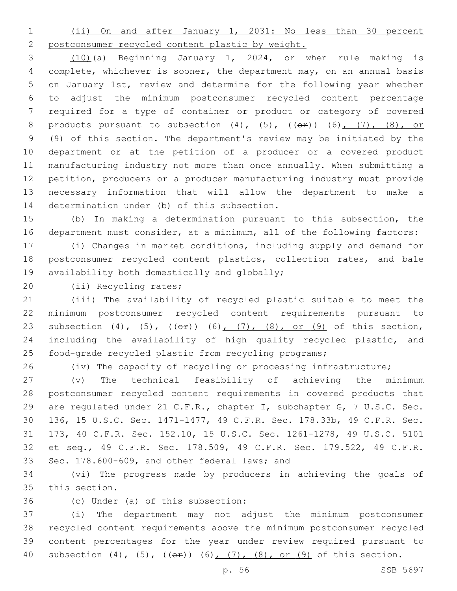(ii) On and after January 1, 2031: No less than 30 percent

postconsumer recycled content plastic by weight.

 (10)(a) Beginning January 1, 2024, or when rule making is complete, whichever is sooner, the department may, on an annual basis on January 1st, review and determine for the following year whether to adjust the minimum postconsumer recycled content percentage required for a type of container or product or category of covered 8 products pursuant to subsection  $(4)$ ,  $(5)$ ,  $((e^e))$   $(6)$ ,  $(7)$ ,  $(8)$ , or 9 (9) of this section. The department's review may be initiated by the department or at the petition of a producer or a covered product manufacturing industry not more than once annually. When submitting a petition, producers or a producer manufacturing industry must provide necessary information that will allow the department to make a 14 determination under (b) of this subsection.

 (b) In making a determination pursuant to this subsection, the department must consider, at a minimum, all of the following factors:

 (i) Changes in market conditions, including supply and demand for postconsumer recycled content plastics, collection rates, and bale 19 availability both domestically and globally;

20 (ii) Recycling rates;

 (iii) The availability of recycled plastic suitable to meet the minimum postconsumer recycled content requirements pursuant to 23 subsection (4), (5),  $((e^2))$  (6),  $(7)$ , (8), or (9) of this section, including the availability of high quality recycled plastic, and food-grade recycled plastic from recycling programs;

(iv) The capacity of recycling or processing infrastructure;

 (v) The technical feasibility of achieving the minimum postconsumer recycled content requirements in covered products that are regulated under 21 C.F.R., chapter I, subchapter G, 7 U.S.C. Sec. 136, 15 U.S.C. Sec. 1471-1477, 49 C.F.R. Sec. 178.33b, 49 C.F.R. Sec. 173, 40 C.F.R. Sec. 152.10, 15 U.S.C. Sec. 1261-1278, 49 U.S.C. 5101 et seq., 49 C.F.R. Sec. 178.509, 49 C.F.R. Sec. 179.522, 49 C.F.R. Sec. 178.600-609, and other federal laws; and

 (vi) The progress made by producers in achieving the goals of 35 this section.

36 (c) Under (a) of this subsection:

 (i) The department may not adjust the minimum postconsumer recycled content requirements above the minimum postconsumer recycled content percentages for the year under review required pursuant to 40 subsection  $(4)$ ,  $(5)$ ,  $((e^2))$   $(6)$ ,  $(7)$ ,  $(8)$ , or  $(9)$  of this section.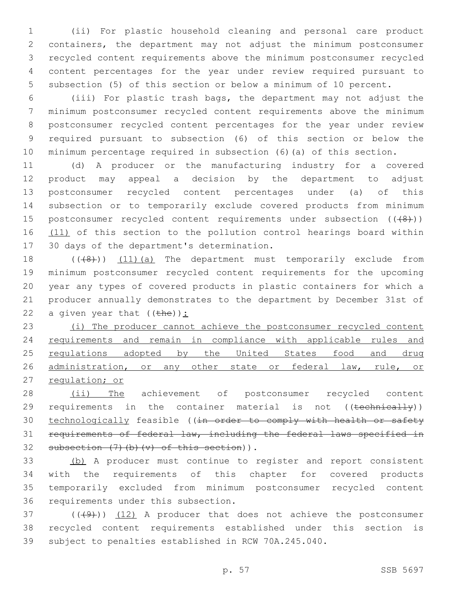(ii) For plastic household cleaning and personal care product containers, the department may not adjust the minimum postconsumer recycled content requirements above the minimum postconsumer recycled content percentages for the year under review required pursuant to subsection (5) of this section or below a minimum of 10 percent.

 (iii) For plastic trash bags, the department may not adjust the minimum postconsumer recycled content requirements above the minimum postconsumer recycled content percentages for the year under review required pursuant to subsection (6) of this section or below the minimum percentage required in subsection (6)(a) of this section.

11 (d) A producer or the manufacturing industry for a covered 12 product may appeal a decision by the department to adjust 13 postconsumer recycled content percentages under (a) of this 14 subsection or to temporarily exclude covered products from minimum 15 postconsumer recycled content requirements under subsection  $((+8))$ 16 (11) of this section to the pollution control hearings board within 17 30 days of the department's determination.

18 (((48))) (11)(a) The department must temporarily exclude from 19 minimum postconsumer recycled content requirements for the upcoming 20 year any types of covered products in plastic containers for which a 21 producer annually demonstrates to the department by December 31st of 22 a given year that  $(\theta) :$ 

23 (i) The producer cannot achieve the postconsumer recycled content 24 requirements and remain in compliance with applicable rules and 25 regulations adopted by the United States food and drug 26 administration, or any other state or federal law, rule, or 27 regulation; or

28 (ii) The achievement of postconsumer recycled content 29 requirements in the container material is not ((technically)) 30 technologically feasible ((in order to comply with health or safety 31 requirements of federal law, including the federal laws specified in 32 subsection  $(7)$  (b)  $(v)$  of this section)).

 (b) A producer must continue to register and report consistent with the requirements of this chapter for covered products temporarily excluded from minimum postconsumer recycled content 36 requirements under this subsection.

 $(1)$  ( $(1)$ ) (12) A producer that does not achieve the postconsumer 38 recycled content requirements established under this section is 39 subject to penalties established in RCW 70A.245.040.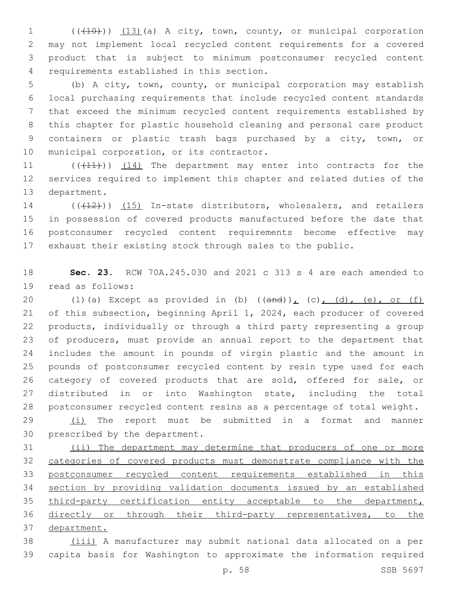1 (( $(10)$ )) (13)(a) A city, town, county, or municipal corporation may not implement local recycled content requirements for a covered product that is subject to minimum postconsumer recycled content requirements established in this section.4

 (b) A city, town, county, or municipal corporation may establish local purchasing requirements that include recycled content standards that exceed the minimum recycled content requirements established by this chapter for plastic household cleaning and personal care product containers or plastic trash bags purchased by a city, town, or 10 municipal corporation, or its contractor.

11 (((41))) (14) The department may enter into contracts for the services required to implement this chapter and related duties of the 13 department.

14 (((412))) (15) In-state distributors, wholesalers, and retailers in possession of covered products manufactured before the date that postconsumer recycled content requirements become effective may exhaust their existing stock through sales to the public.

 **Sec. 23.** RCW 70A.245.030 and 2021 c 313 s 4 are each amended to 19 read as follows:

20 (1)(a) Except as provided in (b)  $((and))_L$  (c), (d), (e), or (f) of this subsection, beginning April 1, 2024, each producer of covered products, individually or through a third party representing a group of producers, must provide an annual report to the department that includes the amount in pounds of virgin plastic and the amount in pounds of postconsumer recycled content by resin type used for each 26 category of covered products that are sold, offered for sale, or distributed in or into Washington state, including the total postconsumer recycled content resins as a percentage of total weight.

 $(1)$  The report must be submitted in a format and manner 30 prescribed by the department.

 (ii) The department may determine that producers of one or more categories of covered products must demonstrate compliance with the postconsumer recycled content requirements established in this section by providing validation documents issued by an established third-party certification entity acceptable to the department, directly or through their third-party representatives, to the department.

 (iii) A manufacturer may submit national data allocated on a per capita basis for Washington to approximate the information required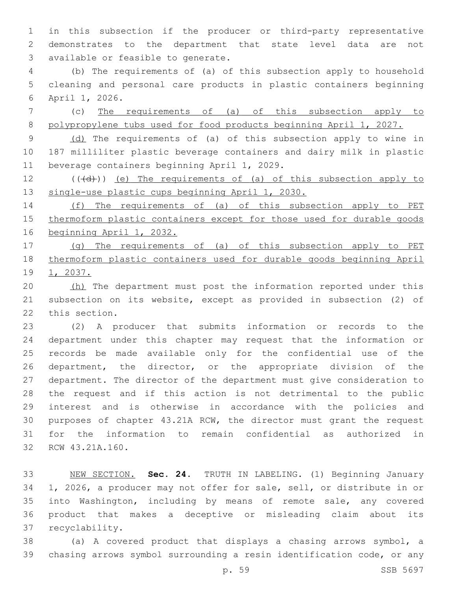in this subsection if the producer or third-party representative demonstrates to the department that state level data are not 3 available or feasible to generate.

 (b) The requirements of (a) of this subsection apply to household cleaning and personal care products in plastic containers beginning 6 April 1, 2026.

 (c) The requirements of (a) of this subsection apply to polypropylene tubs used for food products beginning April 1, 2027.

9 (d) The requirements of (a) of this subsection apply to wine in 187 milliliter plastic beverage containers and dairy milk in plastic 11 beverage containers beginning April 1, 2029.

 (( $\left(\frac{1}{2}\right)$ ) (e) The requirements of (a) of this subsection apply to single-use plastic cups beginning April 1, 2030.

 (f) The requirements of (a) of this subsection apply to PET thermoform plastic containers except for those used for durable goods beginning April 1, 2032.

 (g) The requirements of (a) of this subsection apply to PET thermoform plastic containers used for durable goods beginning April 1, 2037.

20 (h) The department must post the information reported under this subsection on its website, except as provided in subsection (2) of 22 this section.

 (2) A producer that submits information or records to the department under this chapter may request that the information or records be made available only for the confidential use of the 26 department, the director, or the appropriate division of the department. The director of the department must give consideration to the request and if this action is not detrimental to the public interest and is otherwise in accordance with the policies and purposes of chapter 43.21A RCW, the director must grant the request for the information to remain confidential as authorized in 32 RCW 43.21A.160.

 NEW SECTION. **Sec. 24.** TRUTH IN LABELING. (1) Beginning January 1, 2026, a producer may not offer for sale, sell, or distribute in or into Washington, including by means of remote sale, any covered product that makes a deceptive or misleading claim about its recyclability.

 (a) A covered product that displays a chasing arrows symbol, a chasing arrows symbol surrounding a resin identification code, or any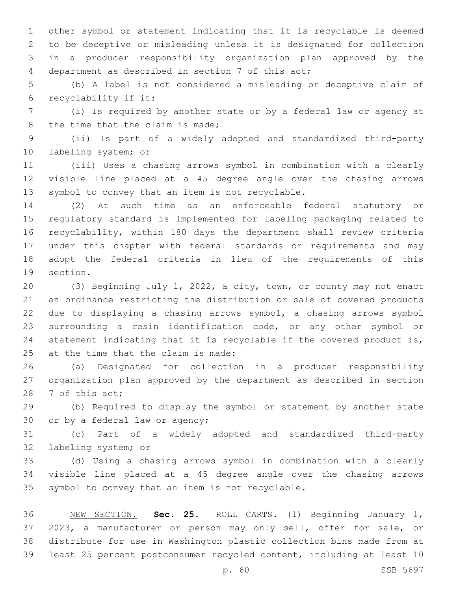other symbol or statement indicating that it is recyclable is deemed to be deceptive or misleading unless it is designated for collection in a producer responsibility organization plan approved by the department as described in section 7 of this act;4

 (b) A label is not considered a misleading or deceptive claim of recyclability if it:6

 (i) Is required by another state or by a federal law or agency at 8 the time that the claim is made;

 (ii) Is part of a widely adopted and standardized third-party 10 labeling system; or

 (iii) Uses a chasing arrows symbol in combination with a clearly visible line placed at a 45 degree angle over the chasing arrows 13 symbol to convey that an item is not recyclable.

 (2) At such time as an enforceable federal statutory or regulatory standard is implemented for labeling packaging related to recyclability, within 180 days the department shall review criteria under this chapter with federal standards or requirements and may adopt the federal criteria in lieu of the requirements of this 19 section.

 (3) Beginning July 1, 2022, a city, town, or county may not enact an ordinance restricting the distribution or sale of covered products due to displaying a chasing arrows symbol, a chasing arrows symbol surrounding a resin identification code, or any other symbol or statement indicating that it is recyclable if the covered product is, at the time that the claim is made:

 (a) Designated for collection in a producer responsibility organization plan approved by the department as described in section 28 7 of this act;

 (b) Required to display the symbol or statement by another state 30 or by a federal law or agency;

 (c) Part of a widely adopted and standardized third-party 32 labeling system; or

 (d) Using a chasing arrows symbol in combination with a clearly visible line placed at a 45 degree angle over the chasing arrows 35 symbol to convey that an item is not recyclable.

 NEW SECTION. **Sec. 25.** ROLL CARTS. (1) Beginning January 1, 2023, a manufacturer or person may only sell, offer for sale, or distribute for use in Washington plastic collection bins made from at least 25 percent postconsumer recycled content, including at least 10

p. 60 SSB 5697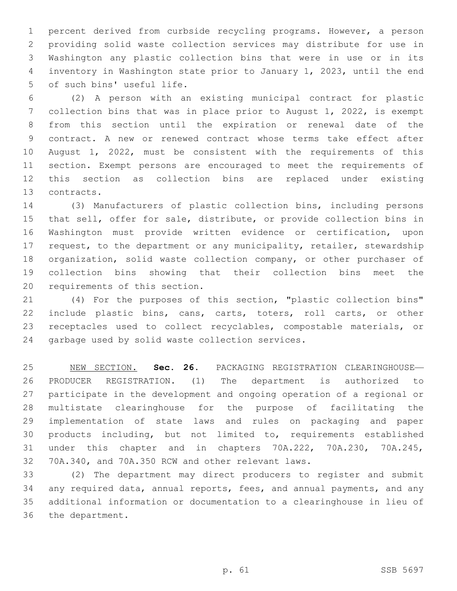percent derived from curbside recycling programs. However, a person providing solid waste collection services may distribute for use in Washington any plastic collection bins that were in use or in its inventory in Washington state prior to January 1, 2023, until the end 5 of such bins' useful life.

 (2) A person with an existing municipal contract for plastic collection bins that was in place prior to August 1, 2022, is exempt from this section until the expiration or renewal date of the contract. A new or renewed contract whose terms take effect after August 1, 2022, must be consistent with the requirements of this section. Exempt persons are encouraged to meet the requirements of this section as collection bins are replaced under existing 13 contracts.

 (3) Manufacturers of plastic collection bins, including persons that sell, offer for sale, distribute, or provide collection bins in Washington must provide written evidence or certification, upon request, to the department or any municipality, retailer, stewardship organization, solid waste collection company, or other purchaser of collection bins showing that their collection bins meet the 20 requirements of this section.

 (4) For the purposes of this section, "plastic collection bins" include plastic bins, cans, carts, toters, roll carts, or other receptacles used to collect recyclables, compostable materials, or 24 garbage used by solid waste collection services.

 NEW SECTION. **Sec. 26.** PACKAGING REGISTRATION CLEARINGHOUSE— PRODUCER REGISTRATION. (1) The department is authorized to participate in the development and ongoing operation of a regional or multistate clearinghouse for the purpose of facilitating the implementation of state laws and rules on packaging and paper products including, but not limited to, requirements established under this chapter and in chapters 70A.222, 70A.230, 70A.245, 70A.340, and 70A.350 RCW and other relevant laws.

 (2) The department may direct producers to register and submit any required data, annual reports, fees, and annual payments, and any additional information or documentation to a clearinghouse in lieu of 36 the department.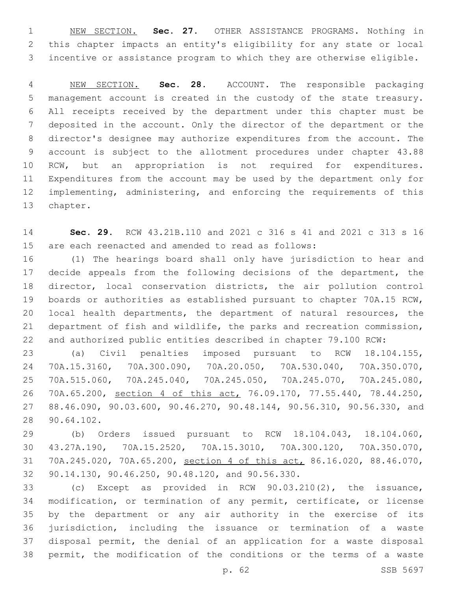NEW SECTION. **Sec. 27.** OTHER ASSISTANCE PROGRAMS. Nothing in this chapter impacts an entity's eligibility for any state or local incentive or assistance program to which they are otherwise eligible.

 NEW SECTION. **Sec. 28.** ACCOUNT. The responsible packaging management account is created in the custody of the state treasury. All receipts received by the department under this chapter must be deposited in the account. Only the director of the department or the director's designee may authorize expenditures from the account. The account is subject to the allotment procedures under chapter 43.88 RCW, but an appropriation is not required for expenditures. Expenditures from the account may be used by the department only for implementing, administering, and enforcing the requirements of this chapter.

 **Sec. 29.** RCW 43.21B.110 and 2021 c 316 s 41 and 2021 c 313 s 16 are each reenacted and amended to read as follows:

 (1) The hearings board shall only have jurisdiction to hear and decide appeals from the following decisions of the department, the director, local conservation districts, the air pollution control boards or authorities as established pursuant to chapter 70A.15 RCW, local health departments, the department of natural resources, the department of fish and wildlife, the parks and recreation commission, and authorized public entities described in chapter 79.100 RCW:

 (a) Civil penalties imposed pursuant to RCW 18.104.155, 70A.15.3160, 70A.300.090, 70A.20.050, 70A.530.040, 70A.350.070, 70A.515.060, 70A.245.040, 70A.245.050, 70A.245.070, 70A.245.080, 70A.65.200, section 4 of this act, 76.09.170, 77.55.440, 78.44.250, 88.46.090, 90.03.600, 90.46.270, 90.48.144, 90.56.310, 90.56.330, and 90.64.102.28

 (b) Orders issued pursuant to RCW 18.104.043, 18.104.060, 43.27A.190, 70A.15.2520, 70A.15.3010, 70A.300.120, 70A.350.070, 70A.245.020, 70A.65.200, section 4 of this act, 86.16.020, 88.46.070, 32 90.14.130, 90.46.250, 90.48.120, and 90.56.330.

 (c) Except as provided in RCW 90.03.210(2), the issuance, modification, or termination of any permit, certificate, or license by the department or any air authority in the exercise of its jurisdiction, including the issuance or termination of a waste disposal permit, the denial of an application for a waste disposal permit, the modification of the conditions or the terms of a waste

p. 62 SSB 5697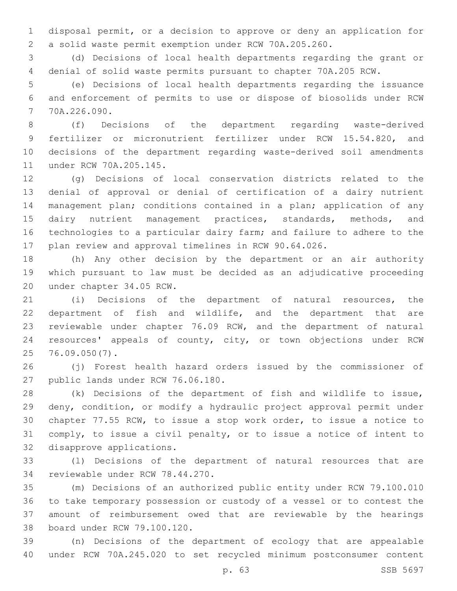disposal permit, or a decision to approve or deny an application for a solid waste permit exemption under RCW 70A.205.260.

 (d) Decisions of local health departments regarding the grant or denial of solid waste permits pursuant to chapter 70A.205 RCW.

 (e) Decisions of local health departments regarding the issuance and enforcement of permits to use or dispose of biosolids under RCW 70A.226.090.7

 (f) Decisions of the department regarding waste-derived fertilizer or micronutrient fertilizer under RCW 15.54.820, and decisions of the department regarding waste-derived soil amendments 11 under RCW 70A.205.145.

 (g) Decisions of local conservation districts related to the denial of approval or denial of certification of a dairy nutrient management plan; conditions contained in a plan; application of any 15 dairy nutrient management practices, standards, methods, and technologies to a particular dairy farm; and failure to adhere to the plan review and approval timelines in RCW 90.64.026.

 (h) Any other decision by the department or an air authority which pursuant to law must be decided as an adjudicative proceeding 20 under chapter 34.05 RCW.

 (i) Decisions of the department of natural resources, the department of fish and wildlife, and the department that are reviewable under chapter 76.09 RCW, and the department of natural resources' appeals of county, city, or town objections under RCW 76.09.050(7).25

 (j) Forest health hazard orders issued by the commissioner of 27 public lands under RCW 76.06.180.

 (k) Decisions of the department of fish and wildlife to issue, deny, condition, or modify a hydraulic project approval permit under chapter 77.55 RCW, to issue a stop work order, to issue a notice to comply, to issue a civil penalty, or to issue a notice of intent to 32 disapprove applications.

 (l) Decisions of the department of natural resources that are 34 reviewable under RCW 78.44.270.

 (m) Decisions of an authorized public entity under RCW 79.100.010 to take temporary possession or custody of a vessel or to contest the amount of reimbursement owed that are reviewable by the hearings 38 board under RCW 79.100.120.

 (n) Decisions of the department of ecology that are appealable under RCW 70A.245.020 to set recycled minimum postconsumer content

p. 63 SSB 5697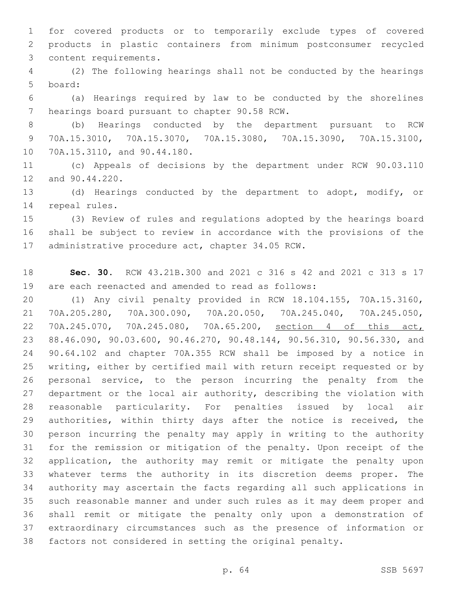for covered products or to temporarily exclude types of covered products in plastic containers from minimum postconsumer recycled 3 content requirements.

 (2) The following hearings shall not be conducted by the hearings 5 board:

 (a) Hearings required by law to be conducted by the shorelines 7 hearings board pursuant to chapter 90.58 RCW.

 (b) Hearings conducted by the department pursuant to RCW 70A.15.3010, 70A.15.3070, 70A.15.3080, 70A.15.3090, 70A.15.3100, 10 70A.15.3110, and 90.44.180.

 (c) Appeals of decisions by the department under RCW 90.03.110 12 and 90.44.220.

 (d) Hearings conducted by the department to adopt, modify, or 14 repeal rules.

 (3) Review of rules and regulations adopted by the hearings board shall be subject to review in accordance with the provisions of the 17 administrative procedure act, chapter 34.05 RCW.

 **Sec. 30.** RCW 43.21B.300 and 2021 c 316 s 42 and 2021 c 313 s 17 are each reenacted and amended to read as follows:

 (1) Any civil penalty provided in RCW 18.104.155, 70A.15.3160, 70A.205.280, 70A.300.090, 70A.20.050, 70A.245.040, 70A.245.050, 70A.245.070, 70A.245.080, 70A.65.200, section 4 of this act, 88.46.090, 90.03.600, 90.46.270, 90.48.144, 90.56.310, 90.56.330, and 90.64.102 and chapter 70A.355 RCW shall be imposed by a notice in writing, either by certified mail with return receipt requested or by personal service, to the person incurring the penalty from the department or the local air authority, describing the violation with reasonable particularity. For penalties issued by local air authorities, within thirty days after the notice is received, the person incurring the penalty may apply in writing to the authority for the remission or mitigation of the penalty. Upon receipt of the application, the authority may remit or mitigate the penalty upon whatever terms the authority in its discretion deems proper. The authority may ascertain the facts regarding all such applications in such reasonable manner and under such rules as it may deem proper and shall remit or mitigate the penalty only upon a demonstration of extraordinary circumstances such as the presence of information or factors not considered in setting the original penalty.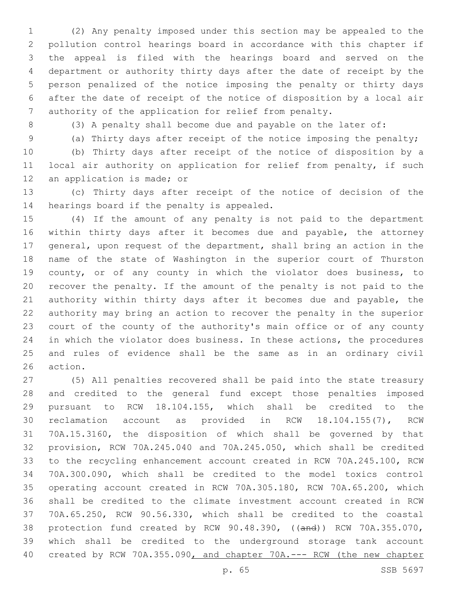(2) Any penalty imposed under this section may be appealed to the pollution control hearings board in accordance with this chapter if the appeal is filed with the hearings board and served on the department or authority thirty days after the date of receipt by the person penalized of the notice imposing the penalty or thirty days after the date of receipt of the notice of disposition by a local air authority of the application for relief from penalty.

(3) A penalty shall become due and payable on the later of:

(a) Thirty days after receipt of the notice imposing the penalty;

 (b) Thirty days after receipt of the notice of disposition by a local air authority on application for relief from penalty, if such 12 an application is made; or

 (c) Thirty days after receipt of the notice of decision of the 14 hearings board if the penalty is appealed.

 (4) If the amount of any penalty is not paid to the department within thirty days after it becomes due and payable, the attorney general, upon request of the department, shall bring an action in the name of the state of Washington in the superior court of Thurston county, or of any county in which the violator does business, to recover the penalty. If the amount of the penalty is not paid to the authority within thirty days after it becomes due and payable, the authority may bring an action to recover the penalty in the superior court of the county of the authority's main office or of any county in which the violator does business. In these actions, the procedures and rules of evidence shall be the same as in an ordinary civil 26 action.

 (5) All penalties recovered shall be paid into the state treasury and credited to the general fund except those penalties imposed pursuant to RCW 18.104.155, which shall be credited to the reclamation account as provided in RCW 18.104.155(7), RCW 70A.15.3160, the disposition of which shall be governed by that provision, RCW 70A.245.040 and 70A.245.050, which shall be credited to the recycling enhancement account created in RCW 70A.245.100, RCW 70A.300.090, which shall be credited to the model toxics control operating account created in RCW 70A.305.180, RCW 70A.65.200, which shall be credited to the climate investment account created in RCW 70A.65.250, RCW 90.56.330, which shall be credited to the coastal 38 protection fund created by RCW 90.48.390, ((and)) RCW 70A.355.070, which shall be credited to the underground storage tank account created by RCW 70A.355.090, and chapter 70A.--- RCW (the new chapter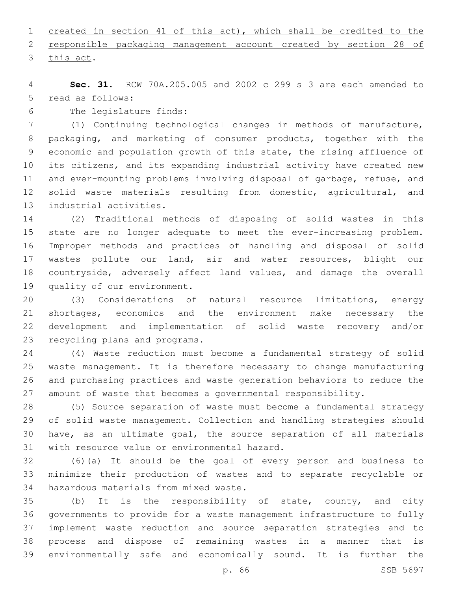created in section 41 of this act), which shall be credited to the

 responsible packaging management account created by section 28 of 3 this act.

 **Sec. 31.** RCW 70A.205.005 and 2002 c 299 s 3 are each amended to 5 read as follows:

6 The legislature finds:

 (1) Continuing technological changes in methods of manufacture, packaging, and marketing of consumer products, together with the economic and population growth of this state, the rising affluence of its citizens, and its expanding industrial activity have created new and ever-mounting problems involving disposal of garbage, refuse, and 12 solid waste materials resulting from domestic, agricultural, and 13 industrial activities.

 (2) Traditional methods of disposing of solid wastes in this state are no longer adequate to meet the ever-increasing problem. Improper methods and practices of handling and disposal of solid wastes pollute our land, air and water resources, blight our countryside, adversely affect land values, and damage the overall 19 quality of our environment.

 (3) Considerations of natural resource limitations, energy shortages, economics and the environment make necessary the development and implementation of solid waste recovery and/or 23 recycling plans and programs.

 (4) Waste reduction must become a fundamental strategy of solid waste management. It is therefore necessary to change manufacturing and purchasing practices and waste generation behaviors to reduce the amount of waste that becomes a governmental responsibility.

 (5) Source separation of waste must become a fundamental strategy of solid waste management. Collection and handling strategies should have, as an ultimate goal, the source separation of all materials 31 with resource value or environmental hazard.

 (6)(a) It should be the goal of every person and business to minimize their production of wastes and to separate recyclable or 34 hazardous materials from mixed waste.

 (b) It is the responsibility of state, county, and city governments to provide for a waste management infrastructure to fully implement waste reduction and source separation strategies and to process and dispose of remaining wastes in a manner that is environmentally safe and economically sound. It is further the

p. 66 SSB 5697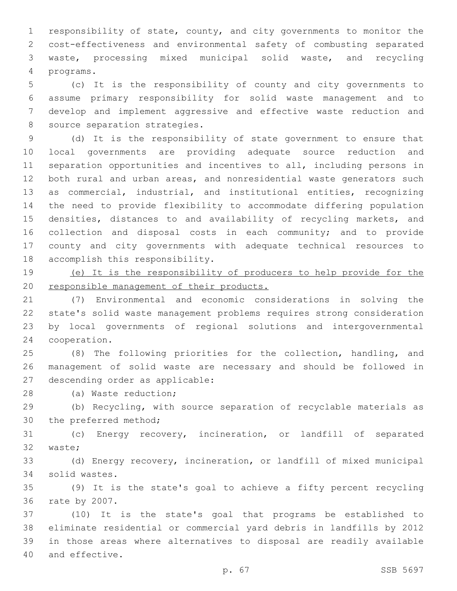responsibility of state, county, and city governments to monitor the cost-effectiveness and environmental safety of combusting separated waste, processing mixed municipal solid waste, and recycling programs.4

 (c) It is the responsibility of county and city governments to assume primary responsibility for solid waste management and to develop and implement aggressive and effective waste reduction and 8 source separation strategies.

 (d) It is the responsibility of state government to ensure that local governments are providing adequate source reduction and separation opportunities and incentives to all, including persons in both rural and urban areas, and nonresidential waste generators such as commercial, industrial, and institutional entities, recognizing the need to provide flexibility to accommodate differing population 15 densities, distances to and availability of recycling markets, and collection and disposal costs in each community; and to provide county and city governments with adequate technical resources to 18 accomplish this responsibility.

 (e) It is the responsibility of producers to help provide for the 20 responsible management of their products.

 (7) Environmental and economic considerations in solving the state's solid waste management problems requires strong consideration by local governments of regional solutions and intergovernmental 24 cooperation.

 (8) The following priorities for the collection, handling, and management of solid waste are necessary and should be followed in 27 descending order as applicable:

28 (a) Waste reduction;

 (b) Recycling, with source separation of recyclable materials as 30 the preferred method;

 (c) Energy recovery, incineration, or landfill of separated 32 waste;

 (d) Energy recovery, incineration, or landfill of mixed municipal solid wastes.34

 (9) It is the state's goal to achieve a fifty percent recycling 36 rate by 2007.

 (10) It is the state's goal that programs be established to eliminate residential or commercial yard debris in landfills by 2012 in those areas where alternatives to disposal are readily available 40 and effective.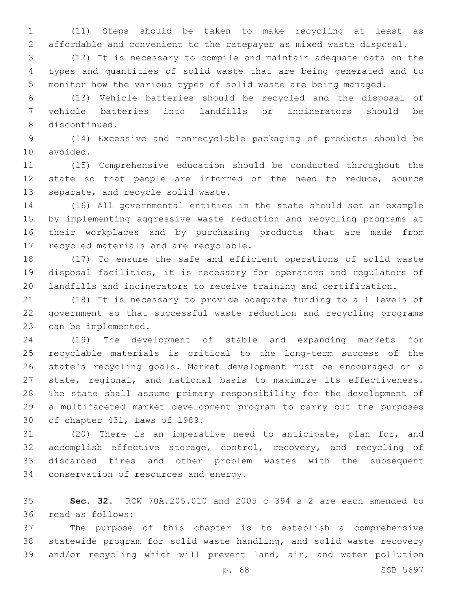(11) Steps should be taken to make recycling at least as affordable and convenient to the ratepayer as mixed waste disposal.

 (12) It is necessary to compile and maintain adequate data on the types and quantities of solid waste that are being generated and to monitor how the various types of solid waste are being managed.

 (13) Vehicle batteries should be recycled and the disposal of vehicle batteries into landfills or incinerators should be 8 discontinued.

 (14) Excessive and nonrecyclable packaging of products should be 10 avoided.

 (15) Comprehensive education should be conducted throughout the state so that people are informed of the need to reduce, source 13 separate, and recycle solid waste.

 (16) All governmental entities in the state should set an example by implementing aggressive waste reduction and recycling programs at their workplaces and by purchasing products that are made from 17 recycled materials and are recyclable.

 (17) To ensure the safe and efficient operations of solid waste disposal facilities, it is necessary for operators and regulators of landfills and incinerators to receive training and certification.

 (18) It is necessary to provide adequate funding to all levels of government so that successful waste reduction and recycling programs 23 can be implemented.

 (19) The development of stable and expanding markets for recyclable materials is critical to the long-term success of the state's recycling goals. Market development must be encouraged on a state, regional, and national basis to maximize its effectiveness. The state shall assume primary responsibility for the development of a multifaceted market development program to carry out the purposes 30 of chapter 431, Laws of 1989.

 (20) There is an imperative need to anticipate, plan for, and 32 accomplish effective storage, control, recovery, and recycling of discarded tires and other problem wastes with the subsequent 34 conservation of resources and energy.

 **Sec. 32.** RCW 70A.205.010 and 2005 c 394 s 2 are each amended to read as follows:36

 The purpose of this chapter is to establish a comprehensive statewide program for solid waste handling, and solid waste recovery and/or recycling which will prevent land, air, and water pollution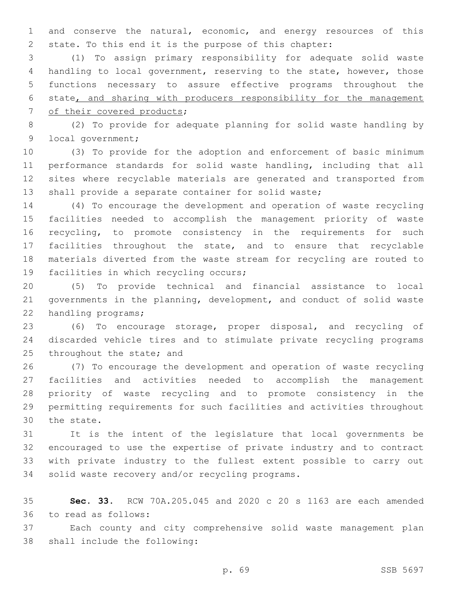and conserve the natural, economic, and energy resources of this state. To this end it is the purpose of this chapter:

 (1) To assign primary responsibility for adequate solid waste handling to local government, reserving to the state, however, those functions necessary to assure effective programs throughout the state, and sharing with producers responsibility for the management 7 of their covered products;

 (2) To provide for adequate planning for solid waste handling by 9 local government;

 (3) To provide for the adoption and enforcement of basic minimum performance standards for solid waste handling, including that all sites where recyclable materials are generated and transported from shall provide a separate container for solid waste;

 (4) To encourage the development and operation of waste recycling facilities needed to accomplish the management priority of waste recycling, to promote consistency in the requirements for such facilities throughout the state, and to ensure that recyclable materials diverted from the waste stream for recycling are routed to 19 facilities in which recycling occurs;

 (5) To provide technical and financial assistance to local governments in the planning, development, and conduct of solid waste 22 handling programs;

 (6) To encourage storage, proper disposal, and recycling of discarded vehicle tires and to stimulate private recycling programs 25 throughout the state; and

 (7) To encourage the development and operation of waste recycling facilities and activities needed to accomplish the management priority of waste recycling and to promote consistency in the permitting requirements for such facilities and activities throughout 30 the state.

 It is the intent of the legislature that local governments be encouraged to use the expertise of private industry and to contract with private industry to the fullest extent possible to carry out 34 solid waste recovery and/or recycling programs.

 **Sec. 33.** RCW 70A.205.045 and 2020 c 20 s 1163 are each amended 36 to read as follows:

 Each county and city comprehensive solid waste management plan 38 shall include the following: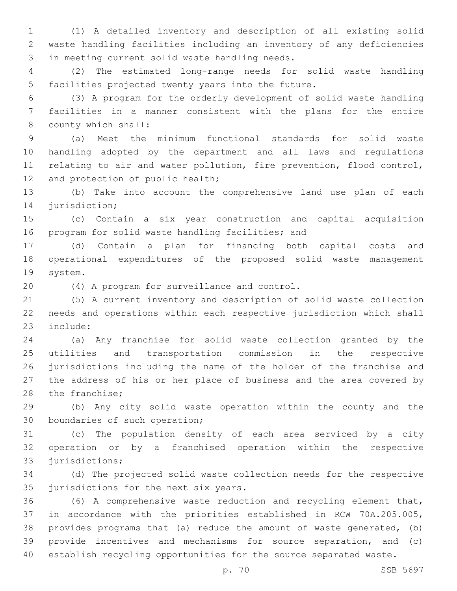(1) A detailed inventory and description of all existing solid waste handling facilities including an inventory of any deficiencies 3 in meeting current solid waste handling needs.

 (2) The estimated long-range needs for solid waste handling 5 facilities projected twenty years into the future.

 (3) A program for the orderly development of solid waste handling facilities in a manner consistent with the plans for the entire 8 county which shall:

 (a) Meet the minimum functional standards for solid waste handling adopted by the department and all laws and regulations relating to air and water pollution, fire prevention, flood control, 12 and protection of public health;

 (b) Take into account the comprehensive land use plan of each 14 jurisdiction;

 (c) Contain a six year construction and capital acquisition 16 program for solid waste handling facilities; and

 (d) Contain a plan for financing both capital costs and operational expenditures of the proposed solid waste management 19 system.

(4) A program for surveillance and control.20

 (5) A current inventory and description of solid waste collection needs and operations within each respective jurisdiction which shall 23 include:

 (a) Any franchise for solid waste collection granted by the utilities and transportation commission in the respective jurisdictions including the name of the holder of the franchise and the address of his or her place of business and the area covered by 28 the franchise;

 (b) Any city solid waste operation within the county and the 30 boundaries of such operation;

 (c) The population density of each area serviced by a city operation or by a franchised operation within the respective 33 jurisdictions;

 (d) The projected solid waste collection needs for the respective 35 jurisdictions for the next six years.

 (6) A comprehensive waste reduction and recycling element that, in accordance with the priorities established in RCW 70A.205.005, provides programs that (a) reduce the amount of waste generated, (b) provide incentives and mechanisms for source separation, and (c) establish recycling opportunities for the source separated waste.

p. 70 SSB 5697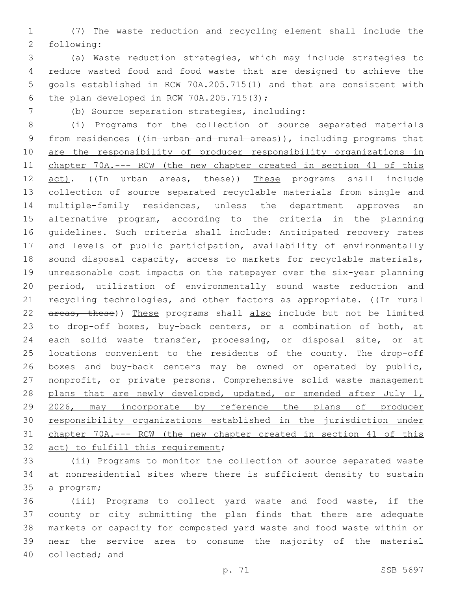(7) The waste reduction and recycling element shall include the 2 following:

 (a) Waste reduction strategies, which may include strategies to reduce wasted food and food waste that are designed to achieve the goals established in RCW 70A.205.715(1) and that are consistent with 6 the plan developed in RCW  $70A.205.715(3);$ 

(b) Source separation strategies, including:7

 (i) Programs for the collection of source separated materials 9 from residences ((in urban and rural areas)), including programs that are the responsibility of producer responsibility organizations in chapter 70A.--- RCW (the new chapter created in section 41 of this 12 act). ((In urban areas, these)) These programs shall include collection of source separated recyclable materials from single and multiple-family residences, unless the department approves an alternative program, according to the criteria in the planning guidelines. Such criteria shall include: Anticipated recovery rates and levels of public participation, availability of environmentally sound disposal capacity, access to markets for recyclable materials, unreasonable cost impacts on the ratepayer over the six-year planning period, utilization of environmentally sound waste reduction and 21 recycling technologies, and other factors as appropriate. ( $\overline{1n - r w r a}$ 22 areas, these)) These programs shall also include but not be limited to drop-off boxes, buy-back centers, or a combination of both, at each solid waste transfer, processing, or disposal site, or at locations convenient to the residents of the county. The drop-off boxes and buy-back centers may be owned or operated by public, 27 nonprofit, or private persons. Comprehensive solid waste management 28 plans that are newly developed, updated, or amended after July 1, 2026, may incorporate by reference the plans of producer responsibility organizations established in the jurisdiction under chapter 70A.--- RCW (the new chapter created in section 41 of this 32 act) to fulfill this requirement;

 (ii) Programs to monitor the collection of source separated waste at nonresidential sites where there is sufficient density to sustain 35 a program;

 (iii) Programs to collect yard waste and food waste, if the county or city submitting the plan finds that there are adequate markets or capacity for composted yard waste and food waste within or near the service area to consume the majority of the material 40 collected; and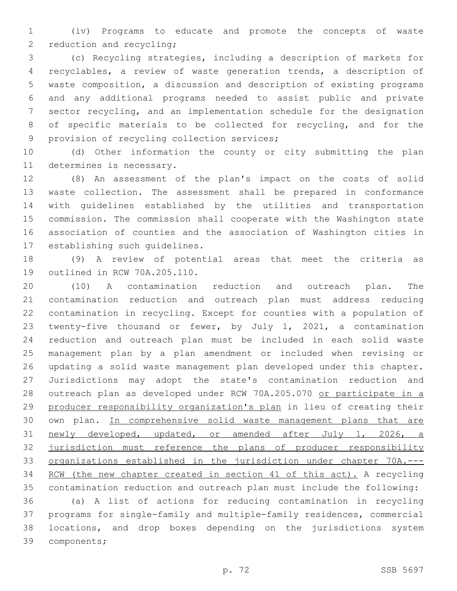(iv) Programs to educate and promote the concepts of waste 2 reduction and recycling;

 (c) Recycling strategies, including a description of markets for recyclables, a review of waste generation trends, a description of waste composition, a discussion and description of existing programs and any additional programs needed to assist public and private sector recycling, and an implementation schedule for the designation of specific materials to be collected for recycling, and for the 9 provision of recycling collection services;

 (d) Other information the county or city submitting the plan 11 determines is necessary.

 (8) An assessment of the plan's impact on the costs of solid waste collection. The assessment shall be prepared in conformance with guidelines established by the utilities and transportation commission. The commission shall cooperate with the Washington state association of counties and the association of Washington cities in 17 establishing such quidelines.

 (9) A review of potential areas that meet the criteria as 19 outlined in RCW 70A.205.110.

 (10) A contamination reduction and outreach plan. The contamination reduction and outreach plan must address reducing contamination in recycling. Except for counties with a population of twenty-five thousand or fewer, by July 1, 2021, a contamination reduction and outreach plan must be included in each solid waste management plan by a plan amendment or included when revising or updating a solid waste management plan developed under this chapter. Jurisdictions may adopt the state's contamination reduction and 28 outreach plan as developed under RCW 70A.205.070 or participate in a 29 producer responsibility organization's plan in lieu of creating their 30 own plan. In comprehensive solid waste management plans that are newly developed, updated, or amended after July 1, 2026, a 32 jurisdiction must reference the plans of producer responsibility organizations established in the jurisdiction under chapter 70A.--- RCW (the new chapter created in section 41 of this act). A recycling contamination reduction and outreach plan must include the following:

 (a) A list of actions for reducing contamination in recycling programs for single-family and multiple-family residences, commercial locations, and drop boxes depending on the jurisdictions system 39 components;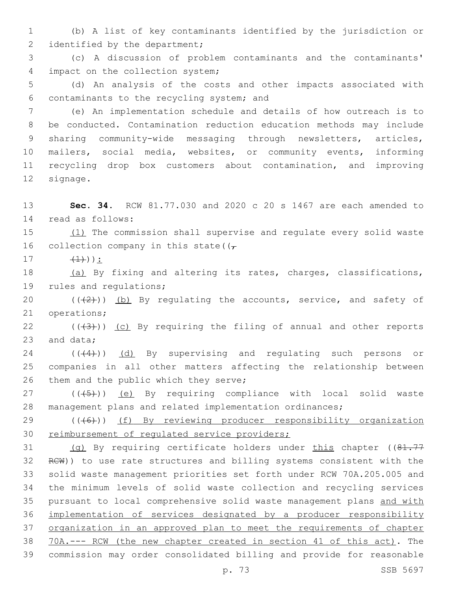1 (b) A list of key contaminants identified by the jurisdiction or 2 identified by the department;

3 (c) A discussion of problem contaminants and the contaminants' 4 impact on the collection system;

5 (d) An analysis of the costs and other impacts associated with contaminants to the recycling system; and6

 (e) An implementation schedule and details of how outreach is to be conducted. Contamination reduction education methods may include 9 sharing community-wide messaging through newsletters, articles, mailers, social media, websites, or community events, informing recycling drop box customers about contamination, and improving 12 signage.

13 **Sec. 34.** RCW 81.77.030 and 2020 c 20 s 1467 are each amended to 14 read as follows:

15 (1) The commission shall supervise and regulate every solid waste 16 collection company in this state( $(\tau)$ 

 $17$   $(1)$ ):

18 (a) By fixing and altering its rates, charges, classifications, 19 rules and regulations;

20  $((+2+))$  (b) By regulating the accounts, service, and safety of 21 operations;

22  $((+3+))$  (c) By requiring the filing of annual and other reports 23 and data;

24 (((4))) (d) By supervising and requlating such persons or 25 companies in all other matters affecting the relationship between 26 them and the public which they serve;

27 (((45)) (e) By requiring compliance with local solid waste 28 management plans and related implementation ordinances;

29 (((6)) (f) By reviewing producer responsibility organization 30 reimbursement of regulated service providers;

31 (g) By requiring certificate holders under this chapter ((81.77) RCW)) to use rate structures and billing systems consistent with the solid waste management priorities set forth under RCW 70A.205.005 and the minimum levels of solid waste collection and recycling services 35 pursuant to local comprehensive solid waste management plans and with implementation of services designated by a producer responsibility organization in an approved plan to meet the requirements of chapter 70A.--- RCW (the new chapter created in section 41 of this act). The commission may order consolidated billing and provide for reasonable

p. 73 SSB 5697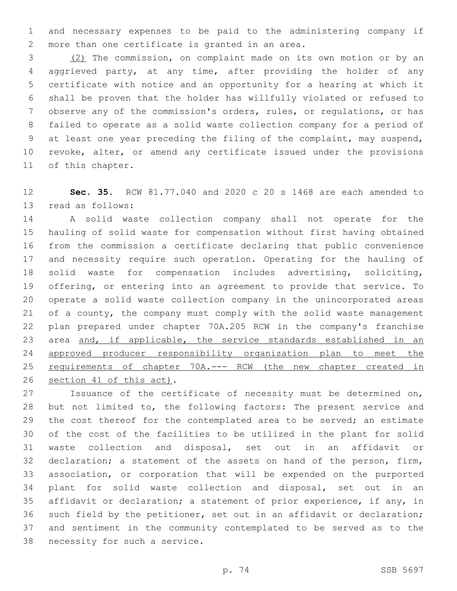and necessary expenses to be paid to the administering company if 2 more than one certificate is granted in an area.

 (2) The commission, on complaint made on its own motion or by an aggrieved party, at any time, after providing the holder of any certificate with notice and an opportunity for a hearing at which it shall be proven that the holder has willfully violated or refused to observe any of the commission's orders, rules, or regulations, or has failed to operate as a solid waste collection company for a period of at least one year preceding the filing of the complaint, may suspend, revoke, alter, or amend any certificate issued under the provisions 11 of this chapter.

 **Sec. 35.** RCW 81.77.040 and 2020 c 20 s 1468 are each amended to 13 read as follows:

 A solid waste collection company shall not operate for the hauling of solid waste for compensation without first having obtained from the commission a certificate declaring that public convenience and necessity require such operation. Operating for the hauling of solid waste for compensation includes advertising, soliciting, offering, or entering into an agreement to provide that service. To operate a solid waste collection company in the unincorporated areas of a county, the company must comply with the solid waste management plan prepared under chapter 70A.205 RCW in the company's franchise 23 area and, if applicable, the service standards established in an approved producer responsibility organization plan to meet the requirements of chapter 70A.--- RCW (the new chapter created in 26 section 41 of this act).

 Issuance of the certificate of necessity must be determined on, but not limited to, the following factors: The present service and the cost thereof for the contemplated area to be served; an estimate of the cost of the facilities to be utilized in the plant for solid waste collection and disposal, set out in an affidavit or declaration; a statement of the assets on hand of the person, firm, association, or corporation that will be expended on the purported plant for solid waste collection and disposal, set out in an affidavit or declaration; a statement of prior experience, if any, in such field by the petitioner, set out in an affidavit or declaration; and sentiment in the community contemplated to be served as to the 38 necessity for such a service.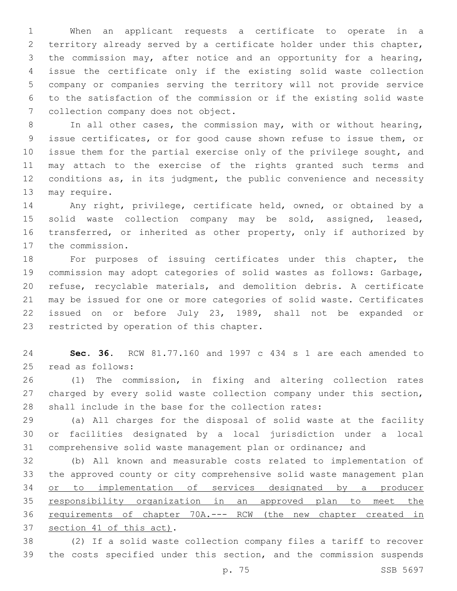When an applicant requests a certificate to operate in a territory already served by a certificate holder under this chapter, the commission may, after notice and an opportunity for a hearing, issue the certificate only if the existing solid waste collection company or companies serving the territory will not provide service to the satisfaction of the commission or if the existing solid waste 7 collection company does not object.

 In all other cases, the commission may, with or without hearing, issue certificates, or for good cause shown refuse to issue them, or issue them for the partial exercise only of the privilege sought, and may attach to the exercise of the rights granted such terms and 12 conditions as, in its judgment, the public convenience and necessity 13 may require.

 Any right, privilege, certificate held, owned, or obtained by a solid waste collection company may be sold, assigned, leased, transferred, or inherited as other property, only if authorized by 17 the commission.

 For purposes of issuing certificates under this chapter, the commission may adopt categories of solid wastes as follows: Garbage, refuse, recyclable materials, and demolition debris. A certificate may be issued for one or more categories of solid waste. Certificates issued on or before July 23, 1989, shall not be expanded or 23 restricted by operation of this chapter.

 **Sec. 36.** RCW 81.77.160 and 1997 c 434 s 1 are each amended to 25 read as follows:

 (1) The commission, in fixing and altering collection rates 27 charged by every solid waste collection company under this section, shall include in the base for the collection rates:

 (a) All charges for the disposal of solid waste at the facility or facilities designated by a local jurisdiction under a local comprehensive solid waste management plan or ordinance; and

 (b) All known and measurable costs related to implementation of the approved county or city comprehensive solid waste management plan or to implementation of services designated by a producer responsibility organization in an approved plan to meet the requirements of chapter 70A.--- RCW (the new chapter created in 37 section 41 of this act).

 (2) If a solid waste collection company files a tariff to recover the costs specified under this section, and the commission suspends

p. 75 SSB 5697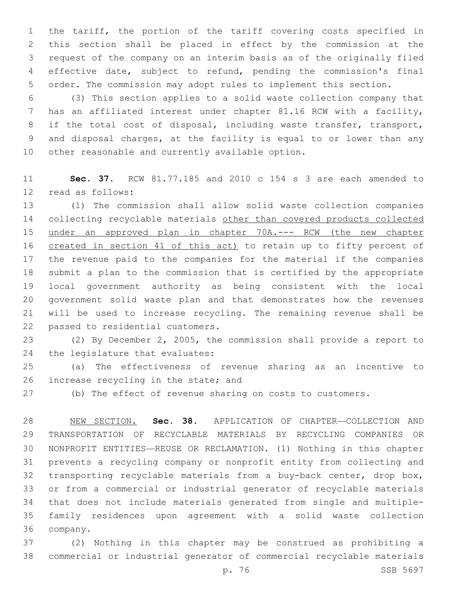the tariff, the portion of the tariff covering costs specified in this section shall be placed in effect by the commission at the request of the company on an interim basis as of the originally filed effective date, subject to refund, pending the commission's final order. The commission may adopt rules to implement this section.

 (3) This section applies to a solid waste collection company that has an affiliated interest under chapter 81.16 RCW with a facility, if the total cost of disposal, including waste transfer, transport, and disposal charges, at the facility is equal to or lower than any 10 other reasonable and currently available option.

 **Sec. 37.** RCW 81.77.185 and 2010 c 154 s 3 are each amended to 12 read as follows:

 (1) The commission shall allow solid waste collection companies 14 collecting recyclable materials other than covered products collected 15 under an approved plan in chapter 70A.--- RCW (the new chapter 16 created in section 41 of this act) to retain up to fifty percent of the revenue paid to the companies for the material if the companies submit a plan to the commission that is certified by the appropriate local government authority as being consistent with the local government solid waste plan and that demonstrates how the revenues will be used to increase recycling. The remaining revenue shall be 22 passed to residential customers.

 (2) By December 2, 2005, the commission shall provide a report to 24 the legislature that evaluates:

 (a) The effectiveness of revenue sharing as an incentive to 26 increase recycling in the state; and

(b) The effect of revenue sharing on costs to customers.

 NEW SECTION. **Sec. 38.** APPLICATION OF CHAPTER—COLLECTION AND TRANSPORTATION OF RECYCLABLE MATERIALS BY RECYCLING COMPANIES OR NONPROFIT ENTITIES—REUSE OR RECLAMATION. (1) Nothing in this chapter prevents a recycling company or nonprofit entity from collecting and transporting recyclable materials from a buy-back center, drop box, or from a commercial or industrial generator of recyclable materials that does not include materials generated from single and multiple- family residences upon agreement with a solid waste collection company.

 (2) Nothing in this chapter may be construed as prohibiting a commercial or industrial generator of commercial recyclable materials

p. 76 SSB 5697